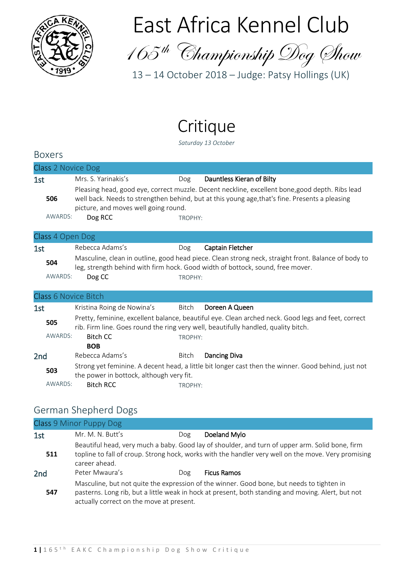

# East Africa Kennel Club

165 th Championship Dog Show

13 – 14 October 2018 – Judge: Patsy Hollings (UK)

## Critique

*Saturday 13 October*

| <b>Boxers</b>      |                                                                                                                                                                                                                                           |                                  |  |  |
|--------------------|-------------------------------------------------------------------------------------------------------------------------------------------------------------------------------------------------------------------------------------------|----------------------------------|--|--|
| Class 2 Novice Dog |                                                                                                                                                                                                                                           |                                  |  |  |
| 1st                | Mrs. S. Yarinakis's                                                                                                                                                                                                                       | Dauntless Kieran of Bilty<br>Dog |  |  |
| 506                | Pleasing head, good eye, correct muzzle. Decent neckline, excellent bone, good depth. Ribs lead<br>well back. Needs to strengthen behind, but at this young age, that's fine. Presents a pleasing<br>picture, and moves well going round. |                                  |  |  |
| AWARDS:            | Dog RCC                                                                                                                                                                                                                                   | TROPHY:                          |  |  |
| Class 4 Open Dog   |                                                                                                                                                                                                                                           |                                  |  |  |

| 1st     | Rebecca Adams's | Dog     | Captain Fletcher                                                                                                                                                                      |
|---------|-----------------|---------|---------------------------------------------------------------------------------------------------------------------------------------------------------------------------------------|
| 504     |                 |         | Masculine, clean in outline, good head piece. Clean strong neck, straight front. Balance of body to<br>leg, strength behind with firm hock. Good width of bottock, sound, free mover. |
| AWARDS: | Dog CC          | TROPHY: |                                                                                                                                                                                       |

| <b>Class 6 Novice Bitch</b> |
|-----------------------------|
|-----------------------------|

| 1st             |         | Kristina Roing de Nowina's               | Bitch   | Doreen A Queen                                                                                                                                                                           |
|-----------------|---------|------------------------------------------|---------|------------------------------------------------------------------------------------------------------------------------------------------------------------------------------------------|
|                 | 505     |                                          |         | Pretty, feminine, excellent balance, beautiful eye. Clean arched neck. Good legs and feet, correct<br>rib. Firm line. Goes round the ring very well, beautifully handled, quality bitch. |
|                 | AWARDS: | Bitch CC                                 | TROPHY: |                                                                                                                                                                                          |
|                 |         | <b>BOB</b>                               |         |                                                                                                                                                                                          |
| 2 <sub>nd</sub> |         | Rebecca Adams's                          | Bitch   | Dancing Diva                                                                                                                                                                             |
|                 | 503     | the power in bottock, although very fit. |         | Strong yet feminine. A decent head, a little bit longer cast then the winner. Good behind, just not                                                                                      |
|                 | AWARDS: | <b>Bitch RCC</b>                         | TROPHY: |                                                                                                                                                                                          |

### German Shepherd Dogs

|                 | Class 9 Minor Puppy Dog                  |     |                                                                                                                                                                                                        |
|-----------------|------------------------------------------|-----|--------------------------------------------------------------------------------------------------------------------------------------------------------------------------------------------------------|
| 1st             | Mr. M. N. Butt's                         | Dog | Doeland Mylo                                                                                                                                                                                           |
| 511             | career ahead.                            |     | Beautiful head, very much a baby. Good lay of shoulder, and turn of upper arm. Solid bone, firm<br>topline to fall of croup. Strong hock, works with the handler very well on the move. Very promising |
| 2 <sub>nd</sub> | Peter Mwaura's                           | Dog | <b>Ficus Ramos</b>                                                                                                                                                                                     |
| 547             | actually correct on the move at present. |     | Masculine, but not quite the expression of the winner. Good bone, but needs to tighten in<br>pasterns. Long rib, but a little weak in hock at present, both standing and moving. Alert, but not        |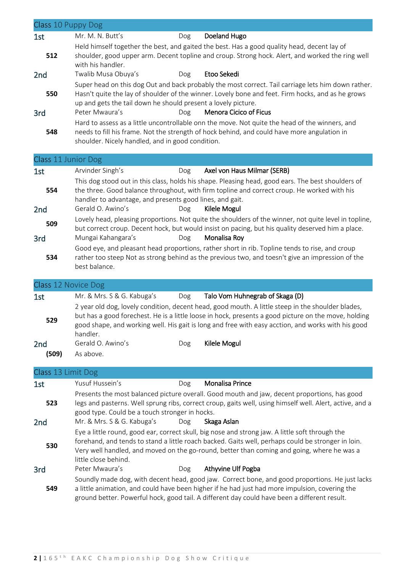| 1st                    | Class 10 Puppy Dog                                                              |     |                                                                                                                                                                                                                                                                                                                 |
|------------------------|---------------------------------------------------------------------------------|-----|-----------------------------------------------------------------------------------------------------------------------------------------------------------------------------------------------------------------------------------------------------------------------------------------------------------------|
|                        | Mr. M. N. Butt's                                                                | Dog | Doeland Hugo                                                                                                                                                                                                                                                                                                    |
| 512                    | with his handler.                                                               |     | Held himself together the best, and gaited the best. Has a good quality head, decent lay of<br>shoulder, good upper arm. Decent topline and croup. Strong hock. Alert, and worked the ring well                                                                                                                 |
| 2 <sub>nd</sub>        | Twalib Musa Obuya's                                                             | Dog | Etoo Sekedi                                                                                                                                                                                                                                                                                                     |
| 550                    | up and gets the tail down he should present a lovely picture.<br>Peter Mwaura's | Dog | Super head on this dog Out and back probably the most correct. Tail carriage lets him down rather.<br>Hasn't quite the lay of shoulder of the winner. Lovely bone and feet. Firm hocks, and as he grows<br><b>Menora Cicico of Ficus</b>                                                                        |
| 3rd                    |                                                                                 |     | Hard to assess as a little uncontrollable onn the move. Not quite the head of the winners, and                                                                                                                                                                                                                  |
| 548                    | shoulder. Nicely handled, and in good condition.                                |     | needs to fill his frame. Not the strength of hock behind, and could have more angulation in                                                                                                                                                                                                                     |
|                        | Class 11 Junior Dog                                                             |     |                                                                                                                                                                                                                                                                                                                 |
| 1st                    | Arvinder Singh's                                                                | Dog | Axel von Haus Milmar (SERB)                                                                                                                                                                                                                                                                                     |
| 554<br>2 <sub>nd</sub> | handler to advantage, and presents good lines, and gait.<br>Gerald O. Awino's   | Dog | This dog stood out in this class, holds his shape. Pleasing head, good ears. The best shoulders of<br>the three. Good balance throughout, with firm topline and correct croup. He worked with his<br>Kilele Mogul                                                                                               |
|                        |                                                                                 |     | Lovely head, pleasing proportions. Not quite the shoulders of the winner, not quite level in topline,                                                                                                                                                                                                           |
| 509                    |                                                                                 |     | but correct croup. Decent hock, but would insist on pacing, but his quality deserved him a place.                                                                                                                                                                                                               |
| 3rd                    | Mungai Kahangara's                                                              | Dog | Monalisa Roy                                                                                                                                                                                                                                                                                                    |
| 534                    | best balance.                                                                   |     | Good eye, and pleasant head proportions, rather short in rib. Topline tends to rise, and croup<br>rather too steep Not as strong behind as the previous two, and toesn't give an impression of the                                                                                                              |
|                        |                                                                                 |     |                                                                                                                                                                                                                                                                                                                 |
|                        | Class 12 Novice Dog                                                             |     |                                                                                                                                                                                                                                                                                                                 |
| 1st                    | Mr. & Mrs. S & G. Kabuga's                                                      | Dog | Talo Vom Huhnegrab of Skaga (D)                                                                                                                                                                                                                                                                                 |
| 529                    | handler.                                                                        |     | 2 year old dog, lovely condition, decent head, good mouth. A little steep in the shoulder blades,<br>but has a good forechest. He is a little loose in hock, presents a good picture on the move, holding<br>good shape, and working well. His gait is long and free with easy acction, and works with his good |
| 2 <sub>nd</sub>        | Gerald O. Awino's                                                               | Dog | Kilele Mogul                                                                                                                                                                                                                                                                                                    |
| (509)                  | As above.                                                                       |     |                                                                                                                                                                                                                                                                                                                 |
|                        |                                                                                 |     |                                                                                                                                                                                                                                                                                                                 |
|                        | Class 13 Limit Dog                                                              |     |                                                                                                                                                                                                                                                                                                                 |
| 1st                    | Yusuf Hussein's                                                                 | Dog | <b>Monalisa Prince</b>                                                                                                                                                                                                                                                                                          |
| 523                    | good type. Could be a touch stronger in hocks.                                  |     | Presents the most balanced picture overall. Good mouth and jaw, decent proportions, has good<br>legs and pasterns. Well sprung ribs, correct croup, gaits well, using himself well. Alert, active, and a                                                                                                        |
| 2 <sub>nd</sub>        | Mr. & Mrs. S & G. Kabuga's                                                      | Dog | Skaga Aslan                                                                                                                                                                                                                                                                                                     |
| 530                    | little close behind.                                                            |     | Eye a little round, good ear, correct skull, big nose and strong jaw. A little soft through the<br>forehand, and tends to stand a little roach backed. Gaits well, perhaps could be stronger in loin.<br>Very well handled, and moved on the go-round, better than coming and going, where he was a             |
| 3rd                    | Peter Mwaura's                                                                  | Dog | Athyvine Ulf Pogba                                                                                                                                                                                                                                                                                              |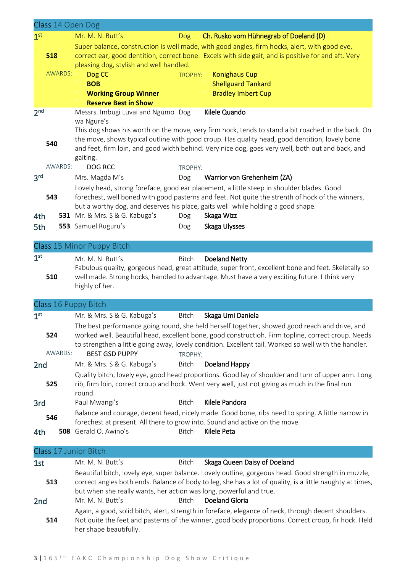|                 | Class 14 Open Dog |                                                                             |                      |                                                                                                                                                                                                     |
|-----------------|-------------------|-----------------------------------------------------------------------------|----------------------|-----------------------------------------------------------------------------------------------------------------------------------------------------------------------------------------------------|
| 1 <sup>st</sup> |                   | Mr. M. N. Butt's                                                            | <b>Dog</b>           | Ch. Rusko vom Hühnegrab of Doeland (D)                                                                                                                                                              |
|                 |                   |                                                                             |                      | Super balance, construction is well made, with good angles, firm hocks, alert, with good eye,                                                                                                       |
|                 | 518               | pleasing dog, stylish and well handled.                                     |                      | correct ear, good dentition, correct bone. Excels with side gait, and is positive for and aft. Very                                                                                                 |
|                 | AWARDS: °         | Dog CC                                                                      | TROPHY: <sup>°</sup> | <b>Konighaus Cup</b>                                                                                                                                                                                |
|                 |                   | <b>BOB</b>                                                                  |                      | <b>Shellguard Tankard</b>                                                                                                                                                                           |
|                 |                   | <b>Working Group Winner</b>                                                 |                      | <b>Bradley Imbert Cup</b>                                                                                                                                                                           |
|                 |                   | <b>Reserve Best in Show</b>                                                 |                      |                                                                                                                                                                                                     |
| 2 <sub>nd</sub> |                   | Messrs. Imbugi Luvai and Ngumo Dog<br>wa Ngure's                            |                      | Kilele Quando                                                                                                                                                                                       |
|                 |                   |                                                                             |                      | This dog shows his worth on the move, very firm hock, tends to stand a bit roached in the back. On                                                                                                  |
|                 | 540               | gaiting.                                                                    |                      | the move, shows typical outline with good croup. Has quality head, good dentition, lovely bone<br>and feet, firm loin, and good width behind. Very nice dog, goes very well, both out and back, and |
|                 | AWARDS:           | <b>DOG RCC</b>                                                              | TROPHY:              |                                                                                                                                                                                                     |
| 3 <sup>rd</sup> |                   | Mrs. Magda M's                                                              | Dog                  | Warrior von Grehenheim (ZA)                                                                                                                                                                         |
|                 |                   |                                                                             |                      | Lovely head, strong foreface, good ear placement, a little steep in shoulder blades. Good                                                                                                           |
|                 | 543               |                                                                             |                      | forechest, well boned with good pasterns and feet. Not quite the strenth of hock of the winners,                                                                                                    |
|                 |                   |                                                                             |                      | but a worthy dog, and deserves his place, gaits well while holding a good shape.                                                                                                                    |
| 4th             |                   | 531 Mr. & Mrs. S & G. Kabuga's                                              | Dog                  | Skaga Wizz                                                                                                                                                                                          |
| 5th             |                   | 553 Samuel Ruguru's                                                         | Dog                  | Skaga Ulysses                                                                                                                                                                                       |
|                 |                   |                                                                             |                      |                                                                                                                                                                                                     |
|                 |                   | Class 15 Minor Puppy Bitch                                                  |                      |                                                                                                                                                                                                     |
| 1 <sup>st</sup> |                   | Mr. M. N. Butt's                                                            | Bitch                | <b>Doeland Netty</b>                                                                                                                                                                                |
|                 |                   |                                                                             |                      | Fabulous quality, gorgeous head, great attitude, super front, excellent bone and feet. Skeletally so                                                                                                |
|                 | 510               |                                                                             |                      | well made. Strong hocks, handled to advantage. Must have a very exciting future. I think very                                                                                                       |
|                 |                   | highly of her.                                                              |                      |                                                                                                                                                                                                     |
|                 |                   | Class 16 Puppy Bitch                                                        |                      |                                                                                                                                                                                                     |
| 1 <sup>st</sup> |                   | Mr. & Mrs. S & G. Kabuga's                                                  | Bitch                | Skaga Umi Daniela                                                                                                                                                                                   |
|                 |                   |                                                                             |                      | The best performance going round, she held herself together, showed good reach and drive, and                                                                                                       |
|                 | 524               |                                                                             |                      | worked well. Beautiful head, excellent bone, good constructioh. Firm topline, correct croup. Needs                                                                                                  |
|                 |                   |                                                                             |                      | to strengthen a little going away, lovely condition. Excellent tail. Worked so well with the handler.                                                                                               |
|                 | AWARDS:           | <b>BEST GSD PUPPY</b>                                                       | TROPHY:              |                                                                                                                                                                                                     |
| 2nd             |                   | Mr. & Mrs. S & G. Kabuga's                                                  | Bitch                | Doeland Happy                                                                                                                                                                                       |
|                 |                   |                                                                             |                      | Quality bitch, lovely eye, good head proportions. Good lay of shoulder and turn of upper arm. Long                                                                                                  |
|                 | 525               | round.                                                                      |                      | rib, firm loin, correct croup and hock. Went very well, just not giving as much in the final run                                                                                                    |
| 3rd             |                   | Paul Mwangi's                                                               | <b>Bitch</b>         | Kilele Pandora                                                                                                                                                                                      |
|                 |                   |                                                                             |                      | Balance and courage, decent head, nicely made. Good bone, ribs need to spring. A little narrow in                                                                                                   |
|                 | 546               | forechest at present. All there to grow into. Sound and active on the move. |                      |                                                                                                                                                                                                     |
| 4th             |                   | 508 Gerald O. Awino's                                                       | <b>Bitch</b>         | Kilele Peta                                                                                                                                                                                         |
|                 |                   |                                                                             |                      |                                                                                                                                                                                                     |
|                 |                   | Class 17 Junior Bitch                                                       |                      |                                                                                                                                                                                                     |
| 1st             |                   | Mr. M. N. Butt's                                                            | <b>Bitch</b>         | Skaga Queen Daisy of Doeland                                                                                                                                                                        |
|                 |                   |                                                                             |                      | Beautiful bitch, lovely eye, super balance. Lovely outline, gorgeous head. Good strength in muzzle,                                                                                                 |
|                 | 513               |                                                                             |                      | correct angles both ends. Balance of body to leg, she has a lot of quality, is a little naughty at times,                                                                                           |
|                 |                   | but when she really wants, her action was long, powerful and true.          |                      |                                                                                                                                                                                                     |
| 2nd             |                   | Mr. M. N. Butt's                                                            | <b>Bitch</b>         | Doeland Gloria                                                                                                                                                                                      |
|                 |                   |                                                                             |                      | Again, a good, solid bitch, alert, strength in foreface, elegance of neck, through decent shoulders.                                                                                                |
|                 | 514               |                                                                             |                      | Not quite the feet and pasterns of the winner, good body proportions. Correct croup, fir hock. Held                                                                                                 |
|                 |                   | her shape beautifully.                                                      |                      |                                                                                                                                                                                                     |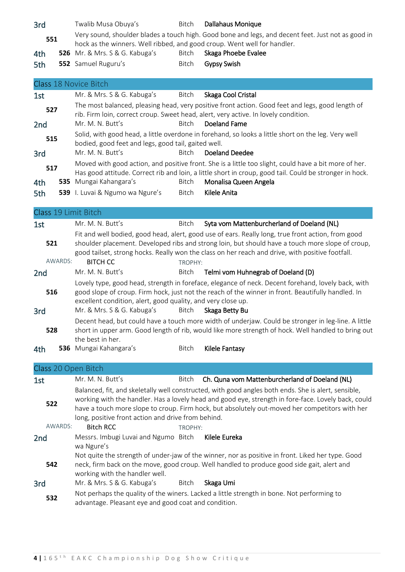| 3rd | Twalib Musa Obuya's                                                      | Bitch        | Dallahaus Monique                                                                                  |
|-----|--------------------------------------------------------------------------|--------------|----------------------------------------------------------------------------------------------------|
| 551 | hock as the winners. Well ribbed, and good croup. Went well for handler. |              | Very sound, shoulder blades a touch high. Good bone and legs, and decent feet. Just not as good in |
| 4th | <b>526</b> Mr. & Mrs. S & G. Kabuga's                                    | Bitch        | Skaga Phoebe Evalee                                                                                |
| 5th | <b>552</b> Samuel Ruguru's                                               | <b>Bitch</b> | <b>Gypsy Swish</b>                                                                                 |

|                 | Class 18 Novice Bitch                                                                                                                                                                                            |              |                                                                                                                                                                                         |  |  |
|-----------------|------------------------------------------------------------------------------------------------------------------------------------------------------------------------------------------------------------------|--------------|-----------------------------------------------------------------------------------------------------------------------------------------------------------------------------------------|--|--|
| 1st             | Mr. & Mrs. S & G. Kabuga's                                                                                                                                                                                       | Bitch        | Skaga Cool Cristal                                                                                                                                                                      |  |  |
| 527             |                                                                                                                                                                                                                  |              | The most balanced, pleasing head, very positive front action. Good feet and legs, good length of<br>rib. Firm loin, correct croup. Sweet head, alert, very active. In lovely condition. |  |  |
| 2 <sub>nd</sub> | Mr. M. N. Butt's                                                                                                                                                                                                 | <b>Bitch</b> | Doeland Fame                                                                                                                                                                            |  |  |
| 515             | Solid, with good head, a little overdone in forehand, so looks a little short on the leg. Very well<br>bodied, good feet and legs, good tail, gaited well.                                                       |              |                                                                                                                                                                                         |  |  |
| 3rd             | Mr. M. N. Butt's                                                                                                                                                                                                 | Bitch        | Doeland Deedee                                                                                                                                                                          |  |  |
| 517             | Moved with good action, and positive front. She is a little too slight, could have a bit more of her.<br>Has good attitude. Correct rib and loin, a little short in croup, good tail. Could be stronger in hock. |              |                                                                                                                                                                                         |  |  |
| 4th             | 535 Mungai Kahangara's                                                                                                                                                                                           | Bitch        | Monalisa Queen Angela                                                                                                                                                                   |  |  |
| $E + h$         | $520$   $\mu$                                                                                                                                                                                                    | Ritch        | Kilolo Anita                                                                                                                                                                            |  |  |

| 5th | <b>539</b> I. Luvai & Ngumo wa Ngure's |  | Bitch <b>Kilele Anita</b> |
|-----|----------------------------------------|--|---------------------------|
|-----|----------------------------------------|--|---------------------------|

| Class 19 Limit Bitch |                                                                                                                                                                                                                                                                          |         |                                                                                                                                                                                                                                                                                                            |  |
|----------------------|--------------------------------------------------------------------------------------------------------------------------------------------------------------------------------------------------------------------------------------------------------------------------|---------|------------------------------------------------------------------------------------------------------------------------------------------------------------------------------------------------------------------------------------------------------------------------------------------------------------|--|
| 1st                  | Mr. M. N. Butt's                                                                                                                                                                                                                                                         | Bitch   | Syta vom Mattenburcherland of Doeland (NL)                                                                                                                                                                                                                                                                 |  |
| 521                  |                                                                                                                                                                                                                                                                          |         | Fit and well bodied, good head, alert, good use of ears. Really long, true front action, from good<br>shoulder placement. Developed ribs and strong loin, but should have a touch more slope of croup,<br>good tailset, strong hocks. Really won the class on her reach and drive, with positive footfall. |  |
| AWARDS:              | <b>BITCH CC</b>                                                                                                                                                                                                                                                          | TROPHY: |                                                                                                                                                                                                                                                                                                            |  |
| 2 <sub>nd</sub>      | Mr. M. N. Butt's                                                                                                                                                                                                                                                         | Bitch   | Telmi vom Huhnegrab of Doeland (D)                                                                                                                                                                                                                                                                         |  |
| 516                  | Lovely type, good head, strength in foreface, elegance of neck. Decent forehand, lovely back, with<br>good slope of croup. Firm hock, just not the reach of the winner in front. Beautifully handled. In<br>excellent condition, alert, good quality, and very close up. |         |                                                                                                                                                                                                                                                                                                            |  |
| 3rd                  | Mr. & Mrs. S & G. Kabuga's                                                                                                                                                                                                                                               | Bitch   | Skaga Betty Bu                                                                                                                                                                                                                                                                                             |  |
| 528                  | the best in her.                                                                                                                                                                                                                                                         |         | Decent head, but could have a touch more width of underjaw. Could be stronger in leg-line. A little<br>short in upper arm. Good length of rib, would like more strength of hock. Well handled to bring out                                                                                                 |  |

| 4th | <b>536</b> Mungai Kahangara's | Bitch | Kilele Fantasy |
|-----|-------------------------------|-------|----------------|
|-----|-------------------------------|-------|----------------|

| Class 20 Open Bitch |                                                                                                                                                                                                                                   |         |                                                                                                                                                                                                                                                                                                              |  |  |  |
|---------------------|-----------------------------------------------------------------------------------------------------------------------------------------------------------------------------------------------------------------------------------|---------|--------------------------------------------------------------------------------------------------------------------------------------------------------------------------------------------------------------------------------------------------------------------------------------------------------------|--|--|--|
| 1st                 | Mr. M. N. Butt's                                                                                                                                                                                                                  | Bitch   | Ch. Quna vom Mattenburcherland of Doeland (NL)                                                                                                                                                                                                                                                               |  |  |  |
| 522                 | long, positive front action and drive from behind.                                                                                                                                                                                |         | Balanced, fit, and skeletally well constructed, with good angles both ends. She is alert, sensible,<br>working with the handler. Has a lovely head and good eye, strength in fore-face. Lovely back, could<br>have a touch more slope to croup. Firm hock, but absolutely out-moved her competitors with her |  |  |  |
| AWARDS:             | <b>Bitch RCC</b>                                                                                                                                                                                                                  | TROPHY: |                                                                                                                                                                                                                                                                                                              |  |  |  |
| 2nd                 | Messrs. Imbugi Luvai and Ngumo Bitch<br>wa Ngure's                                                                                                                                                                                |         | Kilele Eureka                                                                                                                                                                                                                                                                                                |  |  |  |
| 542                 | Not quite the strength of under-jaw of the winner, nor as positive in front. Liked her type. Good<br>neck, firm back on the move, good croup. Well handled to produce good side gait, alert and<br>working with the handler well. |         |                                                                                                                                                                                                                                                                                                              |  |  |  |
| 3rd                 | Mr. & Mrs. S & G. Kabuga's                                                                                                                                                                                                        | Bitch   | Skaga Umi                                                                                                                                                                                                                                                                                                    |  |  |  |
| 532                 | Not perhaps the quality of the winers. Lacked a little strength in bone. Not performing to<br>advantage. Pleasant eye and good coat and condition.                                                                                |         |                                                                                                                                                                                                                                                                                                              |  |  |  |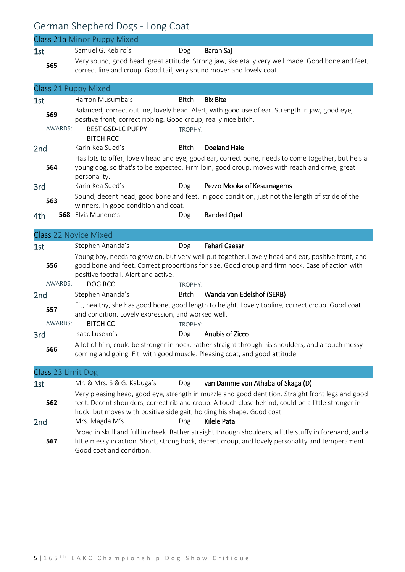### German Shepherd Dogs - Long Coat

|                              | <b>Class 21a Minor Puppy Mixed</b>                                                                                                                                                                                                                                                                                        |                  |                                                                                                                                                                                                              |  |  |
|------------------------------|---------------------------------------------------------------------------------------------------------------------------------------------------------------------------------------------------------------------------------------------------------------------------------------------------------------------------|------------------|--------------------------------------------------------------------------------------------------------------------------------------------------------------------------------------------------------------|--|--|
| 1st                          | Samuel G. Kebiro's                                                                                                                                                                                                                                                                                                        | Dog              | <b>Baron Saj</b>                                                                                                                                                                                             |  |  |
| 565                          | correct line and croup. Good tail, very sound mover and lovely coat.                                                                                                                                                                                                                                                      |                  | Very sound, good head, great attitude. Strong jaw, skeletally very well made. Good bone and feet,                                                                                                            |  |  |
| Class 21 Puppy Mixed         |                                                                                                                                                                                                                                                                                                                           |                  |                                                                                                                                                                                                              |  |  |
| 1st                          | Harron Musumba's                                                                                                                                                                                                                                                                                                          | <b>Bitch</b>     | <b>Bix Bite</b>                                                                                                                                                                                              |  |  |
| 569<br>AWARDS:               | positive front, correct ribbing. Good croup, really nice bitch.<br><b>BEST GSD-LC PUPPY</b><br><b>BITCH RCC</b>                                                                                                                                                                                                           | TROPHY:          | Balanced, correct outline, lovely head. Alert, with good use of ear. Strength in jaw, good eye,                                                                                                              |  |  |
| 2 <sub>nd</sub>              | Karin Kea Sued's                                                                                                                                                                                                                                                                                                          | Bitch            | <b>Doeland Hale</b>                                                                                                                                                                                          |  |  |
| 564                          | personality.                                                                                                                                                                                                                                                                                                              |                  | Has lots to offer, lovely head and eye, good ear, correct bone, needs to come together, but he's a<br>young dog, so that's to be expected. Firm loin, good croup, moves with reach and drive, great          |  |  |
| 3rd                          | Karin Kea Sued's                                                                                                                                                                                                                                                                                                          | Dog              | Pezzo Mooka of Kesumagems                                                                                                                                                                                    |  |  |
| 563                          | winners. In good condition and coat.                                                                                                                                                                                                                                                                                      |                  | Sound, decent head, good bone and feet. In good condition, just not the length of stride of the                                                                                                              |  |  |
| 4th                          | 568 Elvis Munene's                                                                                                                                                                                                                                                                                                        | Dog              | <b>Banded Opal</b>                                                                                                                                                                                           |  |  |
|                              |                                                                                                                                                                                                                                                                                                                           |                  |                                                                                                                                                                                                              |  |  |
| <b>Class 22 Novice Mixed</b> |                                                                                                                                                                                                                                                                                                                           |                  |                                                                                                                                                                                                              |  |  |
| 1st                          | Stephen Ananda's                                                                                                                                                                                                                                                                                                          | Dog              | <b>Fahari Caesar</b>                                                                                                                                                                                         |  |  |
| 556<br>AWARDS:               | positive footfall. Alert and active.<br><b>DOG RCC</b>                                                                                                                                                                                                                                                                    |                  | Young boy, needs to grow on, but very well put together. Lovely head and ear, positive front, and<br>good bone and feet. Correct proportions for size. Good croup and firm hock. Ease of action with         |  |  |
|                              | Stephen Ananda's                                                                                                                                                                                                                                                                                                          | TROPHY:<br>Bitch | Wanda von Edelshof (SERB)                                                                                                                                                                                    |  |  |
| 2 <sub>nd</sub>              |                                                                                                                                                                                                                                                                                                                           |                  | Fit, healthy, she has good bone, good length to height. Lovely topline, correct croup. Good coat                                                                                                             |  |  |
| 557<br>AWARDS:               | and condition. Lovely expression, and worked well.<br><b>BITCH CC</b>                                                                                                                                                                                                                                                     | TROPHY:          |                                                                                                                                                                                                              |  |  |
| 3rd                          | Isaac Luseko's                                                                                                                                                                                                                                                                                                            | Dog              | Anubis of Zicco                                                                                                                                                                                              |  |  |
| 566                          | coming and going. Fit, with good muscle. Pleasing coat, and good attitude.                                                                                                                                                                                                                                                |                  | A lot of him, could be stronger in hock, rather straight through his shoulders, and a touch messy                                                                                                            |  |  |
| Class 23 Limit Dog           |                                                                                                                                                                                                                                                                                                                           |                  |                                                                                                                                                                                                              |  |  |
| 1st                          | Mr. & Mrs. S & G. Kabuga's                                                                                                                                                                                                                                                                                                | Dog              | van Damme von Athaba of Skaga (D)                                                                                                                                                                            |  |  |
| 562<br>2 <sub>nd</sub>       | Very pleasing head, good eye, strength in muzzle and good dentition. Straight front legs and good<br>feet. Decent shoulders, correct rib and croup. A touch close behind, could be a little stronger in<br>hock, but moves with positive side gait, holding his shape. Good coat.<br>Kilele Pata<br>Mrs. Magda M's<br>Dog |                  |                                                                                                                                                                                                              |  |  |
| 567                          | Good coat and condition.                                                                                                                                                                                                                                                                                                  |                  | Broad in skull and full in cheek. Rather straight through shoulders, a little stuffy in forehand, and a<br>little messy in action. Short, strong hock, decent croup, and lovely personality and temperament. |  |  |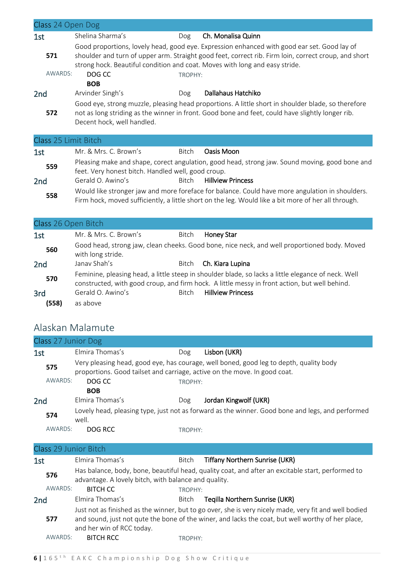| Class 24 Open Dog    |                                                                                                                                                                                                                                                                                    |         |                                                                                                                                                                                                        |  |  |
|----------------------|------------------------------------------------------------------------------------------------------------------------------------------------------------------------------------------------------------------------------------------------------------------------------------|---------|--------------------------------------------------------------------------------------------------------------------------------------------------------------------------------------------------------|--|--|
| 1st                  | Shelina Sharma's                                                                                                                                                                                                                                                                   | Dog     | Ch. Monalisa Quinn                                                                                                                                                                                     |  |  |
| 571                  | Good proportions, lovely head, good eye. Expression enhanced with good ear set. Good lay of<br>shoulder and turn of upper arm. Straight good feet, correct rib. Firm loin, correct croup, and short<br>strong hock. Beautiful condition and coat. Moves with long and easy stride. |         |                                                                                                                                                                                                        |  |  |
| AWARDS:              | DOG CC                                                                                                                                                                                                                                                                             | TROPHY: |                                                                                                                                                                                                        |  |  |
|                      | <b>BOB</b>                                                                                                                                                                                                                                                                         |         |                                                                                                                                                                                                        |  |  |
| 2 <sub>nd</sub>      | Arvinder Singh's                                                                                                                                                                                                                                                                   | Dog     | Dallahaus Hatchiko                                                                                                                                                                                     |  |  |
| 572                  | Good eye, strong muzzle, pleasing head proportions. A little short in shoulder blade, so therefore<br>not as long striding as the winner in front. Good bone and feet, could have slightly longer rib.<br>Decent hock, well handled.                                               |         |                                                                                                                                                                                                        |  |  |
| Class 25 Limit Bitch |                                                                                                                                                                                                                                                                                    |         |                                                                                                                                                                                                        |  |  |
| 1st                  | Mr. & Mrs. C. Brown's                                                                                                                                                                                                                                                              | Bitch   | Oasis Moon                                                                                                                                                                                             |  |  |
| 559                  | Pleasing make and shape, corect angulation, good head, strong jaw. Sound moving, good bone and<br>feet. Very honest bitch. Handled well, good croup.                                                                                                                               |         |                                                                                                                                                                                                        |  |  |
| 2 <sub>nd</sub>      | Gerald O. Awino's                                                                                                                                                                                                                                                                  | Bitch   | <b>Hillview Princess</b>                                                                                                                                                                               |  |  |
| 558                  |                                                                                                                                                                                                                                                                                    |         | Would like stronger jaw and more foreface for balance. Could have more angulation in shoulders.<br>Firm hock, moved sufficiently, a little short on the leg. Would like a bit more of her all through. |  |  |

#### Class 26 Open Bitch

| 1st             | Mr. & Mrs. C. Brown's | Bitch | Honey Star                                                                                                                                                                                           |
|-----------------|-----------------------|-------|------------------------------------------------------------------------------------------------------------------------------------------------------------------------------------------------------|
| 560             | with long stride.     |       | Good head, strong jaw, clean cheeks. Good bone, nice neck, and well proportioned body. Moved                                                                                                         |
| 2 <sub>nd</sub> | Janay Shah's          | Bitch | Ch. Kiara Lupina                                                                                                                                                                                     |
| 570             |                       |       | Feminine, pleasing head, a little steep in shoulder blade, so lacks a little elegance of neck. Well<br>constructed, with good croup, and firm hock. A little messy in front action, but well behind. |
| 3rd             | Gerald O. Awino's     | Bitch | <b>Hillview Princess</b>                                                                                                                                                                             |
| (558)           | as above              |       |                                                                                                                                                                                                      |

### Alaskan Malamute

| Class 27 Junior Dog                                                                                              |                                                                                                                                                           |                                                                                                                                                                     |                                                                                                                                                                                                            |  |  |
|------------------------------------------------------------------------------------------------------------------|-----------------------------------------------------------------------------------------------------------------------------------------------------------|---------------------------------------------------------------------------------------------------------------------------------------------------------------------|------------------------------------------------------------------------------------------------------------------------------------------------------------------------------------------------------------|--|--|
| 1st                                                                                                              | Elmira Thomas's                                                                                                                                           | Dog                                                                                                                                                                 | Lisbon (UKR)                                                                                                                                                                                               |  |  |
| 575                                                                                                              |                                                                                                                                                           | Very pleasing head, good eye, has courage, well boned, good leg to depth, quality body<br>proportions. Good tailset and carriage, active on the move. In good coat. |                                                                                                                                                                                                            |  |  |
| AWARDS:                                                                                                          | DOG CC                                                                                                                                                    | TROPHY:                                                                                                                                                             |                                                                                                                                                                                                            |  |  |
|                                                                                                                  | <b>BOB</b>                                                                                                                                                |                                                                                                                                                                     |                                                                                                                                                                                                            |  |  |
| 2 <sub>nd</sub>                                                                                                  | Elmira Thomas's                                                                                                                                           | Dog                                                                                                                                                                 | Jordan Kingwolf (UKR)                                                                                                                                                                                      |  |  |
| Lovely head, pleasing type, just not as forward as the winner. Good bone and legs, and performed<br>574<br>well. |                                                                                                                                                           |                                                                                                                                                                     |                                                                                                                                                                                                            |  |  |
| AWARDS:                                                                                                          | DOG RCC                                                                                                                                                   | TROPHY:                                                                                                                                                             |                                                                                                                                                                                                            |  |  |
| Class 29 Junior Bitch                                                                                            |                                                                                                                                                           |                                                                                                                                                                     |                                                                                                                                                                                                            |  |  |
| 1st                                                                                                              | Elmira Thomas's                                                                                                                                           | Bitch                                                                                                                                                               | Tiffany Northern Sunrise (UKR)                                                                                                                                                                             |  |  |
| 576                                                                                                              | Has balance, body, bone, beautiful head, quality coat, and after an excitable start, performed to<br>advantage. A lovely bitch, with balance and quality. |                                                                                                                                                                     |                                                                                                                                                                                                            |  |  |
| AWARDS:                                                                                                          | <b>BITCH CC</b>                                                                                                                                           | TROPHY:                                                                                                                                                             |                                                                                                                                                                                                            |  |  |
| 2 <sub>nd</sub>                                                                                                  | Elmira Thomas's                                                                                                                                           | Bitch                                                                                                                                                               | Tegilla Northern Sunrise (UKR)                                                                                                                                                                             |  |  |
| 577                                                                                                              | and her win of RCC today.                                                                                                                                 |                                                                                                                                                                     | Just not as finished as the winner, but to go over, she is very nicely made, very fit and well bodied<br>and sound, just not qute the bone of the winer, and lacks the coat, but well worthy of her place, |  |  |
| AWARDS:                                                                                                          | <b>BITCH RCC</b>                                                                                                                                          | TROPHY:                                                                                                                                                             |                                                                                                                                                                                                            |  |  |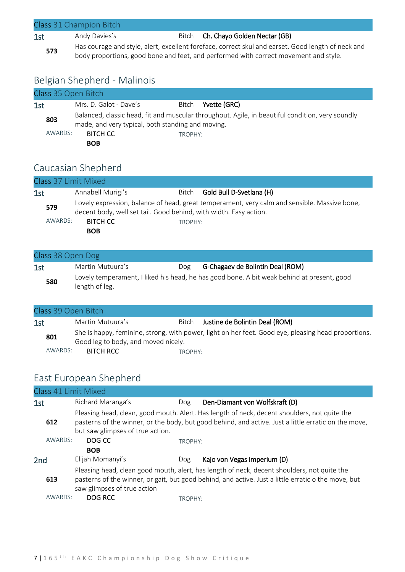| Class 31 Champion Bitch |               |  |                                                                                                                                                                                            |  |  |  |
|-------------------------|---------------|--|--------------------------------------------------------------------------------------------------------------------------------------------------------------------------------------------|--|--|--|
| 1st                     | Andy Davies's |  | Bitch Ch. Chayo Golden Nectar (GB)                                                                                                                                                         |  |  |  |
| 573                     |               |  | Has courage and style, alert, excellent foreface, correct skul and earset. Good length of neck and<br>body proportions, good bone and feet, and performed with correct movement and style. |  |  |  |

#### Belgian Shepherd - Malinois

| Class 35 Open Bitch |                                                                                                                                                       |         |              |  |
|---------------------|-------------------------------------------------------------------------------------------------------------------------------------------------------|---------|--------------|--|
| 1st                 | Mrs. D. Galot - Dave's                                                                                                                                | Bitch   | Yvette (GRC) |  |
| 803                 | Balanced, classic head, fit and muscular throughout. Agile, in beautiful condition, very soundly<br>made, and very typical, both standing and moving. |         |              |  |
| AWARDS:             | <b>BITCH CC</b>                                                                                                                                       | TROPHY: |              |  |
|                     | <b>BOB</b>                                                                                                                                            |         |              |  |

#### Caucasian Shepherd

| Class 37 Limit Mixed |  |                                                                                                                                                                   |         |                          |  |  |  |
|----------------------|--|-------------------------------------------------------------------------------------------------------------------------------------------------------------------|---------|--------------------------|--|--|--|
| 1st                  |  | Annabell Murigi's                                                                                                                                                 | Bitch   | Gold Bull D-Svetlana (H) |  |  |  |
| 579                  |  | Lovely expression, balance of head, great temperament, very calm and sensible. Massive bone,<br>decent body, well set tail. Good behind, with width. Easy action. |         |                          |  |  |  |
| AWARDS:              |  | <b>BITCH CC</b><br><b>BOB</b>                                                                                                                                     | TROPHY: |                          |  |  |  |

#### Class 38 Open Dog

| 1st | Martin Mutuura's | Dog | G-Chagaev de Bolintin Deal (ROM)                                                           |
|-----|------------------|-----|--------------------------------------------------------------------------------------------|
| 580 | length of leg.   |     | Lovely temperament, I liked his head, he has good bone. A bit weak behind at present, good |

#### Class 39 Open Bitch 1st Martin Mutuura's Bitch Justine de Bolintin Deal (ROM) **801** She is happy, feminine, strong, with power, light on her feet. Good eye, pleasing head proportions. Good leg to body, and moved nicely. AWARDS: BITCH RCC TROPHY:

#### East European Shepherd

| Class 41 Limit Mixed |                                  |         |                                                                                                                                                                                                      |
|----------------------|----------------------------------|---------|------------------------------------------------------------------------------------------------------------------------------------------------------------------------------------------------------|
| 1st                  | Richard Maranga's                | Dog     | Den-Diamant von Wolfskraft (D)                                                                                                                                                                       |
| 612                  | but saw glimpses of true action. |         | Pleasing head, clean, good mouth. Alert. Has length of neck, decent shoulders, not quite the<br>pasterns of the winner, or the body, but good behind, and active. Just a little erratic on the move, |
| AWARDS:              | DOG CC                           | TROPHY: |                                                                                                                                                                                                      |
|                      | <b>BOB</b>                       |         |                                                                                                                                                                                                      |
| 2nd                  | Elijah Momanyi's                 | Dog     | Kajo von Vegas Imperium (D)                                                                                                                                                                          |
| 613                  | saw glimpses of true action      |         | Pleasing head, clean good mouth, alert, has length of neck, decent shoulders, not quite the<br>pasterns of the winner, or gait, but good behind, and active. Just a little erratic o the move, but   |
| AWARDS:              | DOG RCC                          | TROPHY: |                                                                                                                                                                                                      |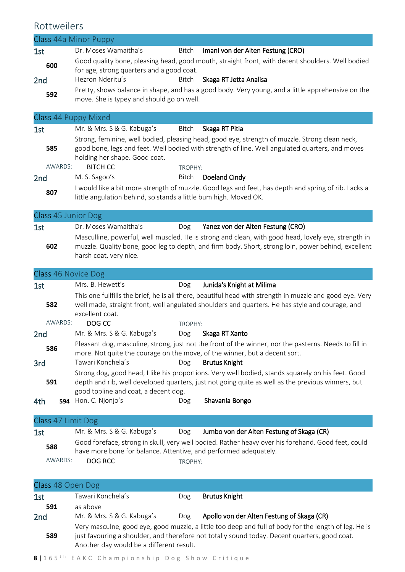### Rottweilers

|                      | Class 44a Minor Puppy                                            |         |                                                                                                                                                                                                                                                 |
|----------------------|------------------------------------------------------------------|---------|-------------------------------------------------------------------------------------------------------------------------------------------------------------------------------------------------------------------------------------------------|
| 1st                  | Dr. Moses Wamaitha's                                             | Bitch   | Imani von der Alten Festung (CRO)                                                                                                                                                                                                               |
| 600                  | for age, strong quarters and a good coat.                        |         | Good quality bone, pleasing head, good mouth, straight front, with decent shoulders. Well bodied                                                                                                                                                |
| 2nd                  | Hezron Nderitu's                                                 | Bitch   | Skaga RT Jetta Analisa                                                                                                                                                                                                                          |
| 592                  | move. She is typey and should go on well.                        |         | Pretty, shows balance in shape, and has a good body. Very young, and a little apprehensive on the                                                                                                                                               |
| Class 44 Puppy Mixed |                                                                  |         |                                                                                                                                                                                                                                                 |
| 1st                  | Mr. & Mrs. S & G. Kabuga's                                       | Bitch   | Skaga RT Pitia                                                                                                                                                                                                                                  |
| 585<br>AWARDS:       | holding her shape. Good coat.<br><b>BITCH CC</b>                 | TROPHY: | Strong, feminine, well bodied, pleasing head, good eye, strength of muzzle. Strong clean neck,<br>good bone, legs and feet. Well bodied with strength of line. Well angulated quarters, and moves                                               |
| 2 <sub>nd</sub>      | M. S. Sagoo's                                                    | Bitch   | Doeland Cindy                                                                                                                                                                                                                                   |
| 807                  | little angulation behind, so stands a little bum high. Moved OK. |         | I would like a bit more strength of muzzle. Good legs and feet, has depth and spring of rib. Lacks a                                                                                                                                            |
| Class 45 Junior Dog  |                                                                  |         |                                                                                                                                                                                                                                                 |
| 1st<br>602           | Dr. Moses Wamaitha's<br>harsh coat, very nice.                   | Dog     | Yanez von der Alten Festung (CRO)<br>Masculline, powerful, well muscled. He is strong and clean, with good head, lovely eye, strength in<br>muzzle. Quality bone, good leg to depth, and firm body. Short, strong loin, power behind, excellent |
| Class 46 Novice Dog  |                                                                  |         |                                                                                                                                                                                                                                                 |
| 1st                  | Mrs. B. Hewett's                                                 | Dog     | Junida's Knight at Milima                                                                                                                                                                                                                       |

| 1st |         | Mrs. B. Hewett's                                                                                                                                                                    | Dog     | Junida's Knight at Milima                                                                                                                                                                                   |  |
|-----|---------|-------------------------------------------------------------------------------------------------------------------------------------------------------------------------------------|---------|-------------------------------------------------------------------------------------------------------------------------------------------------------------------------------------------------------------|--|
|     | 582     | excellent coat.                                                                                                                                                                     |         | This one fullfills the brief, he is all there, beautiful head with strength in muzzle and good eye. Very<br>well made, straight front, well angulated shoulders and quarters. He has style and courage, and |  |
|     | AWARDS: | DOG CC                                                                                                                                                                              | TROPHY: |                                                                                                                                                                                                             |  |
| 2nd |         | Mr. & Mrs. S & G. Kabuga's                                                                                                                                                          | Dog     | Skaga RT Xanto                                                                                                                                                                                              |  |
|     | 586     | Pleasant dog, masculine, strong, just not the front of the winner, nor the pasterns. Needs to fill in<br>more. Not quite the courage on the move, of the winner, but a decent sort. |         |                                                                                                                                                                                                             |  |
| 3rd |         | Tawari Konchela's                                                                                                                                                                   | Dog     | <b>Brutus Knight</b>                                                                                                                                                                                        |  |
|     | 591     | good topline and coat, a decent dog.                                                                                                                                                |         | Strong dog, good head, I like his proportions. Very well bodied, stands squarely on his feet. Good<br>depth and rib, well developed quarters, just not going quite as well as the previous winners, but     |  |
| 4th | 594     | Hon. C. Njonjo's                                                                                                                                                                    | Dog     | Shavania Bongo                                                                                                                                                                                              |  |

| Class 47 Limit Dog |                                                                  |         |                                                                                                    |
|--------------------|------------------------------------------------------------------|---------|----------------------------------------------------------------------------------------------------|
| 1st                | Mr. & Mrs. S & G. Kabuga's                                       | Dog     | Jumbo von der Alten Festung of Skaga (CR)                                                          |
| 588                | have more bone for balance. Attentive, and performed adequately. |         | Good foreface, strong in skull, very well bodied. Rather heavy over his forehand. Good feet, could |
| AWARDS:            | DOG RCC                                                          | TROPHY: |                                                                                                    |

| Class 48 Open Dog      |                                                                                                                                                                                                                                                    |     |                                            |  |  |
|------------------------|----------------------------------------------------------------------------------------------------------------------------------------------------------------------------------------------------------------------------------------------------|-----|--------------------------------------------|--|--|
| 1st                    | Tawari Konchela's                                                                                                                                                                                                                                  | Dog | <b>Brutus Knight</b>                       |  |  |
| 591<br>2 <sub>nd</sub> | as above<br>Mr. & Mrs. S & G. Kabuga's                                                                                                                                                                                                             | Dog | Apollo von der Alten Festung of Skaga (CR) |  |  |
| 589                    | Very masculne, good eye, good muzzle, a little too deep and full of body for the length of leg. He is<br>just favouring a shoulder, and therefore not totally sound today. Decent quarters, good coat.<br>Another day would be a different result. |     |                                            |  |  |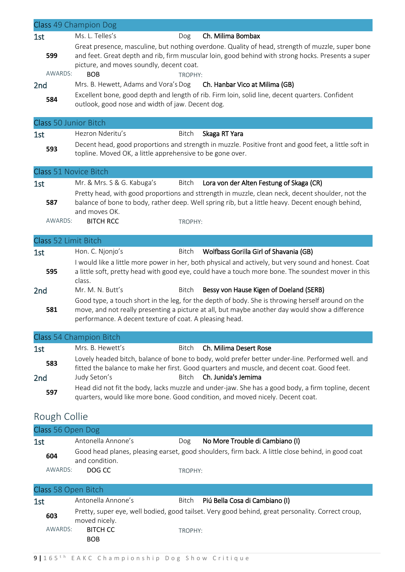|                              | Class 49 Champion Dog                                                                                                                                                                                                                                            |
|------------------------------|------------------------------------------------------------------------------------------------------------------------------------------------------------------------------------------------------------------------------------------------------------------|
| 1st                          | Ms. L. Telles's<br>Ch. Milima Bombax<br>Dog                                                                                                                                                                                                                      |
| 599<br>AWARDS:               | Great presence, masculine, but nothing overdone. Quality of head, strength of muzzle, super bone<br>and feet. Great depth and rib, firm muscular loin, good behind with strong hocks. Presents a super<br>picture, and moves soundly, decent coat.<br><b>BOB</b> |
|                              | TROPHY:<br>Mrs. B. Hewett, Adams and Vora's Dog<br>Ch. Hanbar Vico at Milima (GB)                                                                                                                                                                                |
| 2 <sub>nd</sub>              | Excellent bone, good depth and length of rib. Firm loin, solid line, decent quarters. Confident                                                                                                                                                                  |
| 584                          | outlook, good nose and width of jaw. Decent dog.                                                                                                                                                                                                                 |
| <b>Class 50 Junior Bitch</b> |                                                                                                                                                                                                                                                                  |
| 1st                          | Hezron Nderitu's<br>Bitch<br>Skaga RT Yara                                                                                                                                                                                                                       |
| 593                          | Decent head, good proportions and strength in muzzle. Positive front and good feet, a little soft in<br>topline. Moved OK, a little apprehensive to be gone over.                                                                                                |
| <b>Class 51 Novice Bitch</b> |                                                                                                                                                                                                                                                                  |
| 1st                          | Mr. & Mrs. S & G. Kabuga's<br>Bitch<br>Lora von der Alten Festung of Skaga (CR)                                                                                                                                                                                  |
| 587                          | Pretty head, with good proportions and sttrength in muzzle, clean neck, decent shoulder, not the<br>balance of bone to body, rather deep. Well spring rib, but a little heavy. Decent enough behind,<br>and moves OK.                                            |
| AWARDS:                      | <b>BITCH RCC</b><br>TROPHY:                                                                                                                                                                                                                                      |
| Class 52 Limit Bitch         |                                                                                                                                                                                                                                                                  |
| 1st                          | Hon. C. Njonjo's<br><b>Bitch</b><br>Wolfbass Gorilla Girl of Shavania (GB)                                                                                                                                                                                       |
| 595                          | I would like a little more power in her, both physical and actively, but very sound and honest. Coat<br>a little soft, pretty head with good eye, could have a touch more bone. The soundest mover in this<br>class.                                             |
| 2nd                          | Mr. M. N. Butt's<br>Bessy von Hause Kigen of Doeland (SERB)<br>Bitch                                                                                                                                                                                             |
| 581                          | Good type, a touch short in the leg, for the depth of body. She is throwing herself around on the<br>move, and not really presenting a picture at all, but maybe another day would show a difference<br>performance. A decent texture of coat. A pleasing head.  |
|                              | Class 54 Champion Bitch                                                                                                                                                                                                                                          |
| 1st                          | Mrs. B. Hewett's<br>Ch. Milima Desert Rose<br><b>Bitch</b>                                                                                                                                                                                                       |
| 583                          | Lovely headed bitch, balance of bone to body, wold prefer better under-line. Performed well. and                                                                                                                                                                 |
| 2nd                          | fitted the balance to make her first. Good quarters and muscle, and decent coat. Good feet.<br>Ch. Junida's Jemima<br>Judy Seton's<br>Bitch                                                                                                                      |
| 597                          | Head did not fit the body, lacks muzzle and under-jaw. She has a good body, a firm topline, decent<br>quarters, would like more bone. Good condition, and moved nicely. Decent coat.                                                                             |
| Rough Collie                 |                                                                                                                                                                                                                                                                  |
| Class 56 Open Dog            |                                                                                                                                                                                                                                                                  |
| 1st                          | Antonella Annone's<br>No More Trouble di Cambiano (I)<br>Dog                                                                                                                                                                                                     |
| 604                          | Good head planes, pleasing earset, good shoulders, firm back. A little close behind, in good coat<br>and condition.                                                                                                                                              |
| AWARDS:                      | DOG CC<br>TROPHY:                                                                                                                                                                                                                                                |
| Class 58 Open Bitch          |                                                                                                                                                                                                                                                                  |
| 1st                          | Antonella Annone's<br>Piú Bella Cosa di Cambiano (I)<br>Bitch                                                                                                                                                                                                    |
| 603                          | Pretty, super eye, well bodied, good tailset. Very good behind, great personality. Correct croup,<br>moved nicely.                                                                                                                                               |

TROPHY:

AWARDS: **BITCH CC** 

° BOB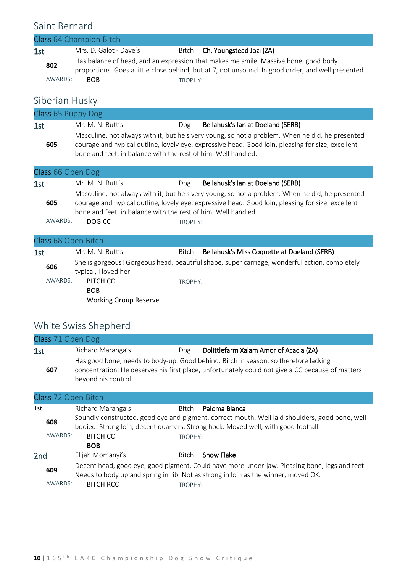#### Saint Bernard

|         | Class 64 Champion Bitch                                                                                                                                                                   |         |                                |  |
|---------|-------------------------------------------------------------------------------------------------------------------------------------------------------------------------------------------|---------|--------------------------------|--|
| 1st     | Mrs. D. Galot - Dave's                                                                                                                                                                    |         | Bitch Ch. Youngstead Jozi (ZA) |  |
| 802     | Has balance of head, and an expression that makes me smile. Massive bone, good body<br>proportions. Goes a little close behind, but at 7, not unsound. In good order, and well presented. |         |                                |  |
| AWARDS: | <b>BOB</b>                                                                                                                                                                                | TROPHY: |                                |  |

### Siberian Husky

| Class 65 Puppy Dog |                                                               |     |                                                                                                                                                                                                      |
|--------------------|---------------------------------------------------------------|-----|------------------------------------------------------------------------------------------------------------------------------------------------------------------------------------------------------|
| 1st                | Mr. M. N. Butt's                                              | Dog | Bellahusk's Ian at Doeland (SERB)                                                                                                                                                                    |
| 605                | bone and feet, in balance with the rest of him. Well handled. |     | Masculine, not always with it, but he's very young, so not a problem. When he did, he presented<br>courage and hypical outline, lovely eye, expressive head. Good loin, pleasing for size, excellent |

| Class 66 Open Dog |                                                                                                                                                                                                                                                                       |         |                                   |  |  |
|-------------------|-----------------------------------------------------------------------------------------------------------------------------------------------------------------------------------------------------------------------------------------------------------------------|---------|-----------------------------------|--|--|
| 1st               | Mr. M. N. Butt's                                                                                                                                                                                                                                                      | Dog     | Bellahusk's Ian at Doeland (SERB) |  |  |
| 605               | Masculine, not always with it, but he's very young, so not a problem. When he did, he presented<br>courage and hypical outline, lovely eye, expressive head. Good loin, pleasing for size, excellent<br>bone and feet, in balance with the rest of him. Well handled. |         |                                   |  |  |
| AWARDS:           | DOG CC                                                                                                                                                                                                                                                                | TROPHY: |                                   |  |  |

#### Class 68 Open Bitch

| $C1999$ ou up the present |                                                               |         |                                                                                               |
|---------------------------|---------------------------------------------------------------|---------|-----------------------------------------------------------------------------------------------|
| 1st                       | Mr. M. N. Butt's                                              | Bitch   | Bellahusk's Miss Coquette at Doeland (SERB)                                                   |
| 606                       | typical, I loved her.                                         |         | She is gorgeous! Gorgeous head, beautiful shape, super carriage, wonderful action, completely |
| AWARDS:                   | <b>BITCH CC</b><br><b>BOB</b><br><b>Working Group Reserve</b> | TROPHY: |                                                                                               |

### White Swiss Shepherd

| Class 71 Open Dog |                     |     |                                                                                                                                                                                         |
|-------------------|---------------------|-----|-----------------------------------------------------------------------------------------------------------------------------------------------------------------------------------------|
| 1st               | Richard Maranga's   | Dog | Dolittlefarm Xalam Amor of Acacia (ZA)                                                                                                                                                  |
| 607               | beyond his control. |     | Has good bone, needs to body-up. Good behind. Bitch in season, so therefore lacking<br>concentration. He deserves his first place, unfortunately could not give a CC because of matters |

#### Class 72 Open Bitch

| 1st             |         | Richard Maranga's                                                                                                                                                                    | Bitch   | Paloma Blanca     |  |  |
|-----------------|---------|--------------------------------------------------------------------------------------------------------------------------------------------------------------------------------------|---------|-------------------|--|--|
| 608             |         | Soundly constructed, good eye and pigment, correct mouth. Well laid shoulders, good bone, well<br>bodied. Strong loin, decent quarters. Strong hock. Moved well, with good footfall. |         |                   |  |  |
|                 | AWARDS: | <b>BITCH CC</b>                                                                                                                                                                      | TROPHY: |                   |  |  |
|                 |         | <b>BOB</b>                                                                                                                                                                           |         |                   |  |  |
| 2 <sub>nd</sub> |         | Elijah Momanyi's                                                                                                                                                                     | Bitch   | <b>Snow Flake</b> |  |  |
| 609             |         | Decent head, good eye, good pigment. Could have more under-jaw. Pleasing bone, legs and feet.<br>Needs to body up and spring in rib. Not as strong in loin as the winner, moved OK.  |         |                   |  |  |
|                 | AWARDS: | <b>BITCH RCC</b>                                                                                                                                                                     | TROPHY: |                   |  |  |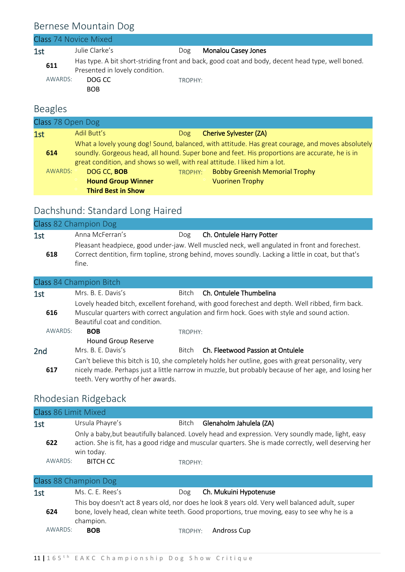### Bernese Mountain Dog

|     |                | Class 74 Novice Mixed                                  |         |                                                                                                  |
|-----|----------------|--------------------------------------------------------|---------|--------------------------------------------------------------------------------------------------|
| 1st |                | Julie Clarke's                                         | Dog     | <b>Monalou Casey Jones</b>                                                                       |
|     | 611<br>AWARDS: | Presented in lovely condition.<br>DOG CC<br><b>BOB</b> | TROPHY: | Has type. A bit short-striding front and back, good coat and body, decent head type, well boned. |
|     |                |                                                        |         |                                                                                                  |
|     |                |                                                        |         |                                                                                                  |

### Beagles

| Class 78 Open Dog |                                                                       |     |                                                                                                                                                                                                                                                                                  |
|-------------------|-----------------------------------------------------------------------|-----|----------------------------------------------------------------------------------------------------------------------------------------------------------------------------------------------------------------------------------------------------------------------------------|
| 1st               | Adil Butt's                                                           | Dog | <b>Cherive Sylvester (ZA)</b>                                                                                                                                                                                                                                                    |
| 614               |                                                                       |     | What a lovely young dog! Sound, balanced, with attitude. Has great courage, and moves absolutely<br>soundly. Gorgeous head, all hound. Super bone and feet. His proportions are accurate, he is in<br>great condition, and shows so well, with real attitude. I liked him a lot. |
| AWARDS:           | DOG CC, BOB<br><b>Hound Group Winner</b><br><b>Third Best in Show</b> |     | TROPHY: Bobby Greenish Memorial Trophy<br><b>Vuorinen Trophy</b>                                                                                                                                                                                                                 |

### Dachshund: Standard Long Haired

|     | Class 82 Champion Dog |     |                                                                                                                                                                                                      |
|-----|-----------------------|-----|------------------------------------------------------------------------------------------------------------------------------------------------------------------------------------------------------|
| 1st | Anna McFerran's       | Dog | Ch. Ontulele Harry Potter                                                                                                                                                                            |
| 618 | fine.                 |     | Pleasant headpiece, good under-jaw. Well muscled neck, well angulated in front and forechest.<br>Correct dentition, firm topline, strong behind, moves soundly. Lacking a little in coat, but that's |

| Class 84 Champion Bitch |                                   |              |                                                                                                      |  |  |
|-------------------------|-----------------------------------|--------------|------------------------------------------------------------------------------------------------------|--|--|
| 1st                     | Mrs. B. E. Davis's                | <b>Bitch</b> | Ch. Ontulele Thumbelina                                                                              |  |  |
|                         |                                   |              | Lovely headed bitch, excellent forehand, with good forechest and depth. Well ribbed, firm back.      |  |  |
| 616                     |                                   |              | Muscular quarters with correct angulation and firm hock. Goes with style and sound action.           |  |  |
|                         | Beautiful coat and condition.     |              |                                                                                                      |  |  |
| AWARDS:                 | <b>BOB</b>                        | TROPHY:      |                                                                                                      |  |  |
|                         | <b>Hound Group Reserve</b>        |              |                                                                                                      |  |  |
| 2 <sub>nd</sub>         | Mrs. B. E. Davis's                | <b>Bitch</b> | Ch. Fleetwood Passion at Ontulele                                                                    |  |  |
|                         |                                   |              | Can't believe this bitch is 10, she completely holds her outline, goes with great personality, very  |  |  |
| 617                     |                                   |              | nicely made. Perhaps just a little narrow in muzzle, but probably because of her age, and losing her |  |  |
|                         | teeth. Very worthy of her awards. |              |                                                                                                      |  |  |

### Rhodesian Ridgeback

| Class 86 Limit Mixed |                 |         |                                                                                                                                                                                                            |
|----------------------|-----------------|---------|------------------------------------------------------------------------------------------------------------------------------------------------------------------------------------------------------------|
| 1st                  | Ursula Phayre's | Bitch   | Glenaholm Jahulela (ZA)                                                                                                                                                                                    |
| 622                  | win today.      |         | Only a baby, but beautifully balanced. Lovely head and expression. Very soundly made, light, easy<br>action. She is fit, has a good ridge and muscular quarters. She is made correctly, well deserving her |
| AWARDS:              | <b>BITCH CC</b> | TROPHY: |                                                                                                                                                                                                            |

|         | Class 88 Champion Dog |     |                                                                                                                                                                                                 |
|---------|-----------------------|-----|-------------------------------------------------------------------------------------------------------------------------------------------------------------------------------------------------|
| 1st     | Ms. C. E. Rees's      | Dog | Ch. Mukuini Hypotenuse                                                                                                                                                                          |
| 624     | champion.             |     | This boy doesn't act 8 years old, nor does he look 8 years old. Very well balanced adult, super<br>bone, lovely head, clean white teeth. Good proportions, true moving, easy to see why he is a |
| AWARDS: | <b>BOB</b>            |     | TROPHY: Andross Cup                                                                                                                                                                             |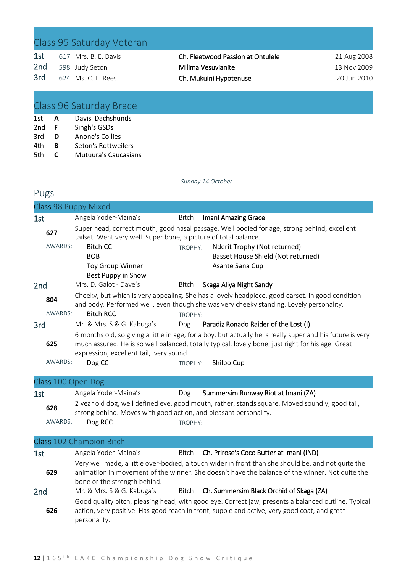### Class 95 Saturday Veteran

| 1st | 617 Mrs. B. E. Davis |  |
|-----|----------------------|--|
| 2nd | 598 Judy Seton       |  |
| 3rd | 624 Ms. C. E. Rees   |  |

Ch. Fleetwood Passion at Ontulele 21 Aug 2008 Milima Vesuvianite 13 Nov 2009 Ch. Mukuini Hypotenuse 20 Jun 2010

### Class 96 Saturday Brace

| 1st  | A  | Davis' Dachshunds           |
|------|----|-----------------------------|
| 2nd  | .F | Singh's GSDs                |
| 3rd  | D  | Anone's Collies             |
| 4th  | в  | Seton's Rottweilers         |
| .5th | C  | <b>Mutuura's Caucasians</b> |

#### *Sunday 14 October*

#### Pugs

| Class 98 Puppy Mixed |                                                                                                                                                                                                                                                            |         |                                           |  |  |
|----------------------|------------------------------------------------------------------------------------------------------------------------------------------------------------------------------------------------------------------------------------------------------------|---------|-------------------------------------------|--|--|
| 1st                  | Angela Yoder-Maina's                                                                                                                                                                                                                                       | Bitch   | Imani Amazing Grace                       |  |  |
| 627                  | Super head, correct mouth, good nasal passage. Well bodied for age, strong behind, excellent<br>tailset. Went very well. Super bone, a picture of total balance.                                                                                           |         |                                           |  |  |
| AWARDS:              | <b>Bitch CC</b>                                                                                                                                                                                                                                            | TROPHY: | Nderit Trophy (Not returned)              |  |  |
|                      | <b>BOB</b>                                                                                                                                                                                                                                                 |         | Basset House Shield (Not returned)        |  |  |
|                      | <b>Toy Group Winner</b>                                                                                                                                                                                                                                    |         | Asante Sana Cup                           |  |  |
|                      | Best Puppy in Show                                                                                                                                                                                                                                         |         |                                           |  |  |
| 2 <sub>nd</sub>      | Mrs. D. Galot - Dave's                                                                                                                                                                                                                                     | Bitch   | Skaga Aliya Night Sandy                   |  |  |
| 804                  | Cheeky, but which is very appealing. She has a lovely headpiece, good earset. In good condition<br>and body. Performed well, even though she was very cheeky standing. Lovely personality.                                                                 |         |                                           |  |  |
| AWARDS:              | <b>Bitch RCC</b>                                                                                                                                                                                                                                           | TROPHY: |                                           |  |  |
| 3rd                  | Mr. & Mrs. S & G. Kabuga's                                                                                                                                                                                                                                 |         | Dog Paradiz Ronado Raider of the Lost (I) |  |  |
| 625                  | 6 months old, so giving a little in age, for a boy, but actually he is really super and his future is very<br>much assured. He is so well balanced, totally typical, lovely bone, just right for his age. Great<br>expression, excellent tail, very sound. |         |                                           |  |  |
| AWARDS:              | Dog CC                                                                                                                                                                                                                                                     | TROPHY: | Shilbo Cup                                |  |  |
| Class 100 Open Dog   |                                                                                                                                                                                                                                                            |         |                                           |  |  |
| 1st                  | Angela Yoder-Maina's                                                                                                                                                                                                                                       | Dog     | Summersim Runway Riot at Imani (ZA)       |  |  |
|                      |                                                                                                                                                                                                                                                            |         |                                           |  |  |

| 628     | 2 year old dog, well defined eye, good mouth, rather, stands square. Moved soundly, good tail,<br>strong behind. Moves with good action, and pleasant personality. |         |  |  |
|---------|--------------------------------------------------------------------------------------------------------------------------------------------------------------------|---------|--|--|
| AWARDS: | Dog RCC                                                                                                                                                            | TROPHY: |  |  |

#### Class 102 Champion Bitch

| 1st             | Angela Yoder-Maina's         | Bitch | Ch. Prirose's Coco Butter at Imani (IND)                                                                                                                                                              |
|-----------------|------------------------------|-------|-------------------------------------------------------------------------------------------------------------------------------------------------------------------------------------------------------|
| 629             | bone or the strength behind. |       | Very well made, a little over-bodied, a touch wider in front than she should be, and not quite the<br>animatiion in movement of the winner. She doesn't have the balance of the winner. Not quite the |
| 2 <sub>nd</sub> | Mr. & Mrs. S & G. Kabuga's   |       | Bitch Ch. Summersim Black Orchid of Skaga (ZA)                                                                                                                                                        |
| 626             | personality.                 |       | Good quality bitch, pleasing head, with good eye. Correct jaw, presents a balanced outline. Typical<br>action, very positive. Has good reach in front, supple and active, very good coat, and great   |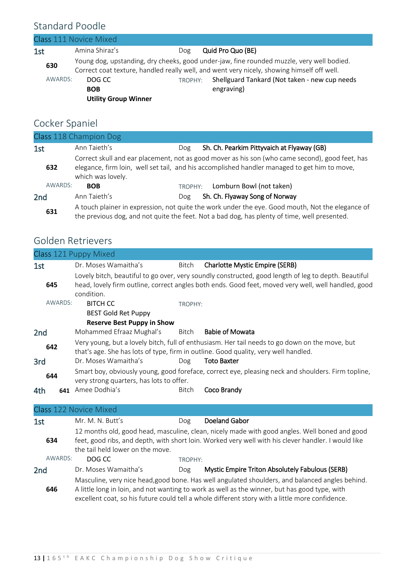### Standard Poodle

| Class 111 Novice Mixed |                                                     |         |                                                                                                                                                                                                                                                        |  |  |
|------------------------|-----------------------------------------------------|---------|--------------------------------------------------------------------------------------------------------------------------------------------------------------------------------------------------------------------------------------------------------|--|--|
| 1st                    | Amina Shiraz's                                      | Dog     | Quid Pro Quo (BE)                                                                                                                                                                                                                                      |  |  |
| 630<br>AWARDS:         | DOG CC<br><b>BOB</b><br><b>Utility Group Winner</b> | TROPHY: | Young dog, upstanding, dry cheeks, good under-jaw, fine rounded muzzle, very well bodied.<br>Correct coat texture, handled really well, and went very nicely, showing himself off well.<br>Shellguard Tankard (Not taken - new cup needs<br>engraving) |  |  |

### Cocker Spaniel

|         | Class 118 Champion Dog                                                                                                                                                                                               |         |  |                                            |
|---------|----------------------------------------------------------------------------------------------------------------------------------------------------------------------------------------------------------------------|---------|--|--------------------------------------------|
| 1st     | Ann Taieth's                                                                                                                                                                                                         | Dog     |  | Sh. Ch. Pearkim Pittyvaich at Flyaway (GB) |
| 632     | Correct skull and ear placement, not as good mover as his son (who came second), good feet, has<br>elegance, firm loin, well set tail, and his accomplished handler managed to get him to move,<br>which was lovely. |         |  |                                            |
| AWARDS: | <b>BOB</b>                                                                                                                                                                                                           | TROPHY: |  | Lomburn Bowl (not taken)                   |
| 2nd     | Ann Taieth's                                                                                                                                                                                                         | Dog     |  | Sh. Ch. Flyaway Song of Norway             |
| 631     | A touch plainer in expression, not quite the work under the eye. Good mouth, Not the elegance of<br>the previous dog, and not quite the feet. Not a bad dog, has plenty of time, well presented.                     |         |  |                                            |

### Golden Retrievers

|                 | Class 121 Puppy Mixed                                                                                                                                                                                                                    |              |                                                                                                                                                                                                                                                                                                     |
|-----------------|------------------------------------------------------------------------------------------------------------------------------------------------------------------------------------------------------------------------------------------|--------------|-----------------------------------------------------------------------------------------------------------------------------------------------------------------------------------------------------------------------------------------------------------------------------------------------------|
| 1st             | Dr. Moses Wamaitha's                                                                                                                                                                                                                     | <b>Bitch</b> | <b>Charlotte Mystic Empire (SERB)</b>                                                                                                                                                                                                                                                               |
|                 |                                                                                                                                                                                                                                          |              | Lovely bitch, beautiful to go over, very soundly constructed, good length of leg to depth. Beautiful                                                                                                                                                                                                |
| 645             |                                                                                                                                                                                                                                          |              | head, lovely firm outline, correct angles both ends. Good feet, moved very well, well handled, good                                                                                                                                                                                                 |
|                 | condition.                                                                                                                                                                                                                               |              |                                                                                                                                                                                                                                                                                                     |
| AWARDS:         | <b>BITCH CC</b>                                                                                                                                                                                                                          | TROPHY:      |                                                                                                                                                                                                                                                                                                     |
|                 | <b>BEST Gold Ret Puppy</b>                                                                                                                                                                                                               |              |                                                                                                                                                                                                                                                                                                     |
|                 | <b>Reserve Best Puppy in Show</b>                                                                                                                                                                                                        |              |                                                                                                                                                                                                                                                                                                     |
| 2nd             | Mohammed Efraaz Mughal's                                                                                                                                                                                                                 | Bitch        | <b>Babie of Mowata</b>                                                                                                                                                                                                                                                                              |
| 642             |                                                                                                                                                                                                                                          |              | Very young, but a lovely bitch, full of enthusiasm. Her tail needs to go down on the move, but<br>that's age. She has lots of type, firm in outline. Good quality, very well handled.                                                                                                               |
| 3rd             | Dr. Moses Wamaitha's                                                                                                                                                                                                                     | Dog          | <b>Toto Baxter</b>                                                                                                                                                                                                                                                                                  |
| 644             | very strong quarters, has lots to offer.                                                                                                                                                                                                 |              | Smart boy, obviously young, good foreface, correct eye, pleasing neck and shoulders. Firm topline,                                                                                                                                                                                                  |
| 4th             | 641 Amee Dodhia's                                                                                                                                                                                                                        | <b>Bitch</b> | Coco Brandy                                                                                                                                                                                                                                                                                         |
|                 | Class 122 Novice Mixed                                                                                                                                                                                                                   |              |                                                                                                                                                                                                                                                                                                     |
| 1st             | Mr. M. N. Butt's                                                                                                                                                                                                                         | Dog          | <b>Doeland Gabor</b>                                                                                                                                                                                                                                                                                |
| 634             | 12 months old, good head, masculine, clean, nicely made with good angles. Well boned and good<br>feet, good ribs, and depth, with short loin. Worked very well with his clever handler. I would like<br>the tail held lower on the move. |              |                                                                                                                                                                                                                                                                                                     |
| AWARDS:         | DOG CC                                                                                                                                                                                                                                   | TROPHY:      |                                                                                                                                                                                                                                                                                                     |
| 2 <sub>nd</sub> | Dr. Moses Wamaitha's                                                                                                                                                                                                                     | Dog          | Mystic Empire Triton Absolutely Fabulous (SERB)                                                                                                                                                                                                                                                     |
| 646             |                                                                                                                                                                                                                                          |              | Masculine, very nice head, good bone. Has well angulated shoulders, and balanced angles behind.<br>A little long in loin, and not wanting to work as well as the winner, but has good type, with<br>excellent coat, so his future could tell a whole different story with a little more confidence. |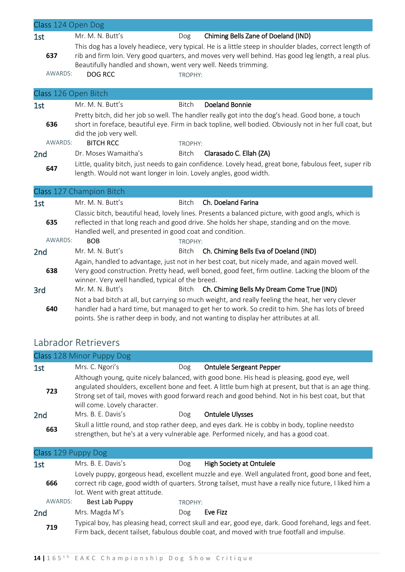| Class 124 Open Dog   |                                                                                                                                                                                                                                                               |              |                                                                                                                                                                                                                                                                                                |
|----------------------|---------------------------------------------------------------------------------------------------------------------------------------------------------------------------------------------------------------------------------------------------------------|--------------|------------------------------------------------------------------------------------------------------------------------------------------------------------------------------------------------------------------------------------------------------------------------------------------------|
| 1st                  | Mr. M. N. Butt's                                                                                                                                                                                                                                              | <b>Dog</b>   | Chiming Bells Zane of Doeland (IND)                                                                                                                                                                                                                                                            |
| 637                  | Beautifully handled and shown, went very well. Needs trimming.                                                                                                                                                                                                |              | This dog has a lovely headiece, very typical. He is a little steep in shoulder blades, correct length of<br>rib and firm loin. Very good quarters, and moves very well behind. Has good leg length, a real plus.                                                                               |
| AWARDS:              | DOG RCC                                                                                                                                                                                                                                                       | TROPHY:      |                                                                                                                                                                                                                                                                                                |
|                      |                                                                                                                                                                                                                                                               |              |                                                                                                                                                                                                                                                                                                |
| Class 126 Open Bitch |                                                                                                                                                                                                                                                               |              |                                                                                                                                                                                                                                                                                                |
| 1st                  | Mr. M. N. Butt's                                                                                                                                                                                                                                              | <b>Bitch</b> | <b>Doeland Bonnie</b>                                                                                                                                                                                                                                                                          |
| 636                  | did the job very well.                                                                                                                                                                                                                                        |              | Pretty bitch, did her job so well. The handler really got into the dog's head. Good bone, a touch<br>short in foreface, beautiful eye. Firm in back topline, well bodied. Obviously not in her full coat, but                                                                                  |
| AWARDS:              | <b>BITCH RCC</b>                                                                                                                                                                                                                                              | TROPHY:      |                                                                                                                                                                                                                                                                                                |
| 2 <sub>nd</sub>      | Dr. Moses Wamaitha's                                                                                                                                                                                                                                          | <b>Bitch</b> | Clarasado C. Ellah (ZA)                                                                                                                                                                                                                                                                        |
| 647                  | length. Would not want longer in loin. Lovely angles, good width.                                                                                                                                                                                             |              | Little, quality bitch, just needs to gain confidence. Lovely head, great bone, fabulous feet, super rib                                                                                                                                                                                        |
|                      | Class 127 Champion Bitch                                                                                                                                                                                                                                      |              |                                                                                                                                                                                                                                                                                                |
| 1st                  | Mr. M. N. Butt's                                                                                                                                                                                                                                              | <b>Bitch</b> | Ch. Doeland Farina                                                                                                                                                                                                                                                                             |
| 635                  | Classic bitch, beautiful head, lovely lines. Presents a balanced picture, with good angls, which is<br>reflected in that long reach and good drive. She holds her shape, standing and on the move.<br>Handled well, and presented in good coat and condition. |              |                                                                                                                                                                                                                                                                                                |
| AWARDS:              | <b>BOB</b>                                                                                                                                                                                                                                                    | TROPHY:      |                                                                                                                                                                                                                                                                                                |
| 2 <sub>nd</sub>      | Mr. M. N. Butt's                                                                                                                                                                                                                                              | Bitch        | Ch. Chiming Bells Eva of Doeland (IND)                                                                                                                                                                                                                                                         |
| 638                  | Again, handled to advantage, just not in her best coat, but nicely made, and again moved well.<br>Very good construction. Pretty head, well boned, good feet, firm outline. Lacking the bloom of the<br>winner. Very well handled, typical of the breed.      |              |                                                                                                                                                                                                                                                                                                |
| 3rd                  | Mr. M. N. Butt's                                                                                                                                                                                                                                              | Bitch        | Ch. Chiming Bells My Dream Come True (IND)                                                                                                                                                                                                                                                     |
| 640                  |                                                                                                                                                                                                                                                               |              | Not a bad bitch at all, but carrying so much weight, and really feeling the heat, her very clever<br>handler had a hard time, but managed to get her to work. So credit to him. She has lots of breed<br>points. She is rather deep in body, and not wanting to display her attributes at all. |

### Labrador Retrievers

|     | Class 128 Minor Puppy Dog    |     |                                                                                                                                                                                                                                                                                                           |
|-----|------------------------------|-----|-----------------------------------------------------------------------------------------------------------------------------------------------------------------------------------------------------------------------------------------------------------------------------------------------------------|
| 1st | Mrs. C. Ngori's              | Dog | <b>Ontulele Sergeant Pepper</b>                                                                                                                                                                                                                                                                           |
| 723 | will come. Lovely character. |     | Although young, quite nicely balanced, with good bone. His head is pleasing, good eye, well<br>angulated shoulders, excellent bone and feet. A little bum high at present, but that is an age thing.<br>Strong set of tail, moves with good forward reach and good behind. Not in his best coat, but that |
| 2nd | Mrs. B. E. Davis's           | Dog | <b>Ontulele Ulysses</b>                                                                                                                                                                                                                                                                                   |
| 663 |                              |     | Skull a little round, and stop rather deep, and eyes dark. He is cobby in body, topline needsto<br>strengthen, but he's at a very vulnerable age. Performed nicely, and has a good coat.                                                                                                                  |

| Class 129 Puppy Dog |                                |         |                                                                                                                                                                                                             |  |  |
|---------------------|--------------------------------|---------|-------------------------------------------------------------------------------------------------------------------------------------------------------------------------------------------------------------|--|--|
| 1st                 | Mrs. B. E. Davis's             | Dog     | <b>High Society at Ontulele</b>                                                                                                                                                                             |  |  |
| 666                 | lot. Went with great attitude. |         | Lovely puppy, gorgeous head, excellent muzzle and eye. Well angulated front, good bone and feet,<br>correct rib cage, good width of quarters. Strong tailset, must have a really nice future, I liked him a |  |  |
| AWARDS:             | Best Lab Puppy                 | TROPHY: |                                                                                                                                                                                                             |  |  |
| 2 <sub>nd</sub>     | Mrs. Magda M's                 | Dog     | Eve Fizz                                                                                                                                                                                                    |  |  |
| 719                 |                                |         | Typical boy, has pleasing head, correct skull and ear, good eye, dark. Good forehand, legs and feet.<br>Firm back, decent tailset, fabulous double coat, and moved with true footfall and impulse.          |  |  |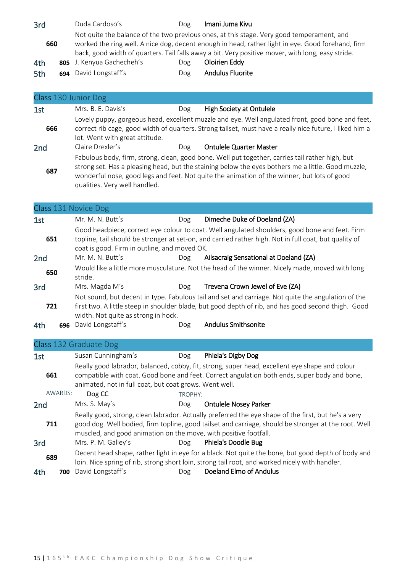| 3rd |  | Duda Cardoso's            | Dog                                                                                                                                                                                                                                                                                                 | Imani Juma Kivu         |
|-----|--|---------------------------|-----------------------------------------------------------------------------------------------------------------------------------------------------------------------------------------------------------------------------------------------------------------------------------------------------|-------------------------|
| 660 |  |                           | Not quite the balance of the two previous ones, at this stage. Very good temperament, and<br>worked the ring well. A nice dog, decent enough in head, rather light in eye. Good forehand, firm<br>back, good width of quarters. Tail falls away a bit. Very positive mover, with long, easy stride. |                         |
| 4th |  | 805 J. Kenyua Gachecheh's | Dog                                                                                                                                                                                                                                                                                                 | Oloirien Eddy           |
| 5th |  | 694 David Longstaff's     | Dog                                                                                                                                                                                                                                                                                                 | <b>Andulus Fluorite</b> |

| Class 130 Junior Dog |                                                                                                                                                                                                                                                                                                                                       |     |                                 |  |  |  |
|----------------------|---------------------------------------------------------------------------------------------------------------------------------------------------------------------------------------------------------------------------------------------------------------------------------------------------------------------------------------|-----|---------------------------------|--|--|--|
| 1st                  | Mrs. B. E. Davis's                                                                                                                                                                                                                                                                                                                    | Dog | <b>High Society at Ontulele</b> |  |  |  |
| 666                  | Lovely puppy, gorgeous head, excellent muzzle and eye. Well angulated front, good bone and feet,<br>correct rib cage, good width of quarters. Strong tailset, must have a really nice future, I liked him a<br>lot. Went with great attitude.                                                                                         |     |                                 |  |  |  |
| 2 <sub>nd</sub>      | Claire Drexler's                                                                                                                                                                                                                                                                                                                      | Dog | <b>Ontulele Quarter Master</b>  |  |  |  |
| 687                  | Fabulous body, firm, strong, clean, good bone. Well put together, carries tail rather high, but<br>strong set. Has a pleasing head, but the staining below the eyes bothers me a little. Good muzzle,<br>wonderful nose, good legs and feet. Not quite the animation of the winner, but lots of good<br>qualities. Very well handled. |     |                                 |  |  |  |

### Class 131 Novice Dog

| 1st |     | Mr. M. N. Butt's                    | Dog                                                                                                                                                   | Dimeche Duke of Doeland (ZA)                                                                                                                                                                              |  |  |
|-----|-----|-------------------------------------|-------------------------------------------------------------------------------------------------------------------------------------------------------|-----------------------------------------------------------------------------------------------------------------------------------------------------------------------------------------------------------|--|--|
|     |     |                                     |                                                                                                                                                       | Good headpiece, correct eye colour to coat. Well angulated shoulders, good bone and feet. Firm                                                                                                            |  |  |
| 651 |     |                                     | topline, tail should be stronger at set-on, and carried rather high. Not in full coat, but quality of<br>coat is good. Firm in outline, and moved OK. |                                                                                                                                                                                                           |  |  |
| 2nd |     | Mr. M. N. Butt's                    | Dog                                                                                                                                                   | Ailsacraig Sensational at Doeland (ZA)                                                                                                                                                                    |  |  |
| 650 |     | stride.                             |                                                                                                                                                       | Would like a little more musculature. Not the head of the winner. Nicely made, moved with long                                                                                                            |  |  |
| 3rd |     | Mrs. Magda M's                      | Dog                                                                                                                                                   | Trevena Crown Jewel of Eve (ZA)                                                                                                                                                                           |  |  |
| 721 |     | width. Not quite as strong in hock. |                                                                                                                                                       | Not sound, but decent in type. Fabulous tail and set and carriage. Not quite the angulation of the<br>first two. A little steep in shoulder blade, but good depth of rib, and has good second thigh. Good |  |  |
| 4th | 696 | David Longstaff's                   | Dog                                                                                                                                                   | Andulus Smithsonite                                                                                                                                                                                       |  |  |

### Class 132 Graduate Dog

| 1st             | Susan Cunningham's                                               | Dog                                                                                                                                                                                            | Phiela's Digby Dog                                                                                                                                                                                          |  |  |
|-----------------|------------------------------------------------------------------|------------------------------------------------------------------------------------------------------------------------------------------------------------------------------------------------|-------------------------------------------------------------------------------------------------------------------------------------------------------------------------------------------------------------|--|--|
| 661             | animated, not in full coat, but coat grows. Went well.           | Really good labrador, balanced, cobby, fit, strong, super head, excellent eye shape and colour<br>compatible with coat. Good bone and feet. Correct angulation both ends, super body and bone, |                                                                                                                                                                                                             |  |  |
| AWARDS:         | Dog CC                                                           | TROPHY:                                                                                                                                                                                        |                                                                                                                                                                                                             |  |  |
| 2 <sub>nd</sub> | Mrs. S. May's                                                    | Dog                                                                                                                                                                                            | <b>Ontulele Nosey Parker</b>                                                                                                                                                                                |  |  |
| 711             | muscled, and good animation on the move, with positive footfall. |                                                                                                                                                                                                | Really good, strong, clean labrador. Actually preferred the eye shape of the first, but he's a very<br>good dog. Well bodied, firm topline, good tailset and carriage, should be stronger at the root. Well |  |  |
| 3rd             | Mrs. P. M. Galley's                                              | Dog                                                                                                                                                                                            | Phiela's Doodle Bug                                                                                                                                                                                         |  |  |
| 689             |                                                                  |                                                                                                                                                                                                | Decent head shape, rather light in eye for a black. Not quite the bone, but good depth of body and<br>loin. Nice spring of rib, strong short loin, strong tail root, and worked nicely with handler.        |  |  |
| 4th<br>700      | David Longstaff's                                                | Dog                                                                                                                                                                                            | Doeland Elmo of Andulus                                                                                                                                                                                     |  |  |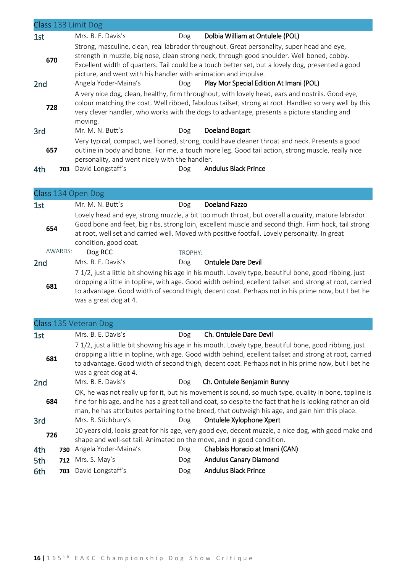|                 |     | Class 133 Limit Dog                                                                                                                                                                                                                                                                                                                                             |     |                                         |  |  |  |
|-----------------|-----|-----------------------------------------------------------------------------------------------------------------------------------------------------------------------------------------------------------------------------------------------------------------------------------------------------------------------------------------------------------------|-----|-----------------------------------------|--|--|--|
| 1st             |     | Mrs. B. E. Davis's                                                                                                                                                                                                                                                                                                                                              | Dog | Dolbia William at Ontulele (POL)        |  |  |  |
| 670             |     | Strong, masculine, clean, real labrador throughout. Great personality, super head and eye,<br>strength in muzzle, big nose, clean strong neck, through good shoulder. Well boned, cobby.<br>Excellent width of quarters. Tail could be a touch better set, but a lovely dog, presented a good<br>picture, and went with his handler with animation and impulse. |     |                                         |  |  |  |
| 2 <sub>nd</sub> |     | Angela Yoder-Maina's                                                                                                                                                                                                                                                                                                                                            | Dog | Play Mor Special Edition At Imani (POL) |  |  |  |
| 728             |     | A very nice dog, clean, healthy, firm throughout, with lovely head, ears and nostrils. Good eye,<br>colour matching the coat. Well ribbed, fabulous tailset, strong at root. Handled so very well by this<br>very clever handler, who works with the dogs to advantage, presents a picture standing and<br>moving.                                              |     |                                         |  |  |  |
| 3rd             |     | Mr. M. N. Butt's                                                                                                                                                                                                                                                                                                                                                | Dog | Doeland Bogart                          |  |  |  |
| 657             |     | Very typical, compact, well boned, strong, could have cleaner throat and neck. Presents a good<br>outline in body and bone. For me, a touch more leg. Good tail action, strong muscle, really nice<br>personality, and went nicely with the handler.                                                                                                            |     |                                         |  |  |  |
| 4th             | 703 | David Longstaff's                                                                                                                                                                                                                                                                                                                                               | Dog | <b>Andulus Black Prince</b>             |  |  |  |

| Class 134 Open Dog |                                                                                                                                                                                                                                                                                                                                                 |         |                                                                                                                                                                                                                                                                                                              |  |  |
|--------------------|-------------------------------------------------------------------------------------------------------------------------------------------------------------------------------------------------------------------------------------------------------------------------------------------------------------------------------------------------|---------|--------------------------------------------------------------------------------------------------------------------------------------------------------------------------------------------------------------------------------------------------------------------------------------------------------------|--|--|
| 1st                | Mr. M. N. Butt's                                                                                                                                                                                                                                                                                                                                | Dog     | Doeland Fazzo                                                                                                                                                                                                                                                                                                |  |  |
| 654                | condition, good coat.                                                                                                                                                                                                                                                                                                                           |         | Lovely head and eye, strong muzzle, a bit too much throat, but overall a quality, mature labrador.<br>Good bone and feet, big ribs, strong loin, excellent muscle and second thigh. Firm hock, tail strong<br>at root, well set and carried well. Moved with positive footfall. Lovely personality. In great |  |  |
| AWARDS:            | Dog RCC                                                                                                                                                                                                                                                                                                                                         | TROPHY: |                                                                                                                                                                                                                                                                                                              |  |  |
| 2nd                | Mrs. B. E. Davis's                                                                                                                                                                                                                                                                                                                              | Dog     | <b>Ontulele Dare Devil</b>                                                                                                                                                                                                                                                                                   |  |  |
| 681                | 7 1/2, just a little bit showing his age in his mouth. Lovely type, beautiful bone, good ribbing, just<br>dropping a little in topline, with age. Good width behind, ecellent tailset and strong at root, carried<br>to advantage. Good width of second thigh, decent coat. Perhaps not in his prime now, but I bet he<br>was a great dog at 4. |         |                                                                                                                                                                                                                                                                                                              |  |  |

|                 |     | Class 135 Veteran Dog                                                                                                                                                                                                                                                                                                                                                          |     |                                 |  |  |
|-----------------|-----|--------------------------------------------------------------------------------------------------------------------------------------------------------------------------------------------------------------------------------------------------------------------------------------------------------------------------------------------------------------------------------|-----|---------------------------------|--|--|
| 1st             |     | Mrs. B. E. Davis's                                                                                                                                                                                                                                                                                                                                                             | Dog | Ch. Ontulele Dare Devil         |  |  |
| 681             |     | 7 1/2, just a little bit showing his age in his mouth. Lovely type, beautiful bone, good ribbing, just<br>dropping a little in topline, with age. Good width behind, ecellent tailset and strong at root, carried<br>to advantage. Good width of second thigh, decent coat. Perhaps not in his prime now, but I bet he<br>was a great dog at 4.                                |     |                                 |  |  |
| 2 <sub>nd</sub> |     | Mrs. B. E. Davis's                                                                                                                                                                                                                                                                                                                                                             | Dog | Ch. Ontulele Benjamin Bunny     |  |  |
| 684<br>3rd      |     | OK, he was not really up for it, but his movement is sound, so much type, quality in bone, topline is<br>fine for his age, and he has a great tail and coat, so despite the fact that he is looking rather an old<br>man, he has attributes pertaining to the breed, that outweigh his age, and gain him this place.<br>Mrs. R. Stichbury's<br>Ontulele Xylophone Xpert<br>Dog |     |                                 |  |  |
| 726             |     | 10 years old, looks great for his age, very good eye, decent muzzle, a nice dog, with good make and<br>shape and well-set tail. Animated on the move, and in good condition.                                                                                                                                                                                                   |     |                                 |  |  |
| 4th             | 730 | Angela Yoder-Maina's                                                                                                                                                                                                                                                                                                                                                           | Dog | Chablais Horacio at Imani (CAN) |  |  |
| 5th             | 712 | Mrs. S. May's                                                                                                                                                                                                                                                                                                                                                                  | Dog | <b>Andulus Canary Diamond</b>   |  |  |
| 6th             | 703 | David Longstaff's                                                                                                                                                                                                                                                                                                                                                              | Dog | <b>Andulus Black Prince</b>     |  |  |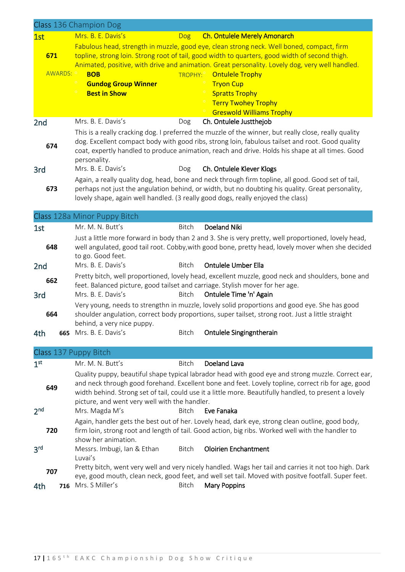|                 |                                                                                                                         | Class 136 Champion Dog                                                                            |              |                                                                                                                                                                                                          |  |  |
|-----------------|-------------------------------------------------------------------------------------------------------------------------|---------------------------------------------------------------------------------------------------|--------------|----------------------------------------------------------------------------------------------------------------------------------------------------------------------------------------------------------|--|--|
| 1st             |                                                                                                                         | Mrs. B. E. Davis's                                                                                | Dog          | <b>Ch. Ontulele Merely Amonarch</b>                                                                                                                                                                      |  |  |
|                 |                                                                                                                         |                                                                                                   |              | Fabulous head, strength in muzzle, good eye, clean strong neck. Well boned, compact, firm                                                                                                                |  |  |
| 671             |                                                                                                                         | topline, strong loin. Strong root of tail, good width to quarters, good width of second thigh.    |              |                                                                                                                                                                                                          |  |  |
|                 | Animated, positive, with drive and animation. Great personality. Lovely dog, very well handled.<br>AWARDS: <sup>o</sup> |                                                                                                   |              |                                                                                                                                                                                                          |  |  |
|                 |                                                                                                                         | <b>BOB</b><br><b>Gundog Group Winner</b>                                                          |              | TROPHY: <sup>o</sup> Ontulele Trophy<br><b>Tryon Cup</b>                                                                                                                                                 |  |  |
|                 |                                                                                                                         | <b>Best in Show</b>                                                                               |              | <b>Spratts Trophy</b>                                                                                                                                                                                    |  |  |
|                 |                                                                                                                         |                                                                                                   |              | <b>Terry Twohey Trophy</b>                                                                                                                                                                               |  |  |
|                 |                                                                                                                         |                                                                                                   |              | <b>Greswold Williams Trophy</b>                                                                                                                                                                          |  |  |
| 2 <sub>nd</sub> |                                                                                                                         | Mrs. B. E. Davis's                                                                                | Dog          | Ch. Ontulele Justthejob                                                                                                                                                                                  |  |  |
|                 |                                                                                                                         |                                                                                                   |              | This is a really cracking dog. I preferred the muzzle of the winner, but really close, really quality                                                                                                    |  |  |
| 674             |                                                                                                                         |                                                                                                   |              | dog. Excellent compact body with good ribs, strong loin, fabulous tailset and root. Good quality                                                                                                         |  |  |
|                 |                                                                                                                         |                                                                                                   |              | coat, expertly handled to produce animation, reach and drive. Holds his shape at all times. Good                                                                                                         |  |  |
|                 |                                                                                                                         | personality.                                                                                      |              |                                                                                                                                                                                                          |  |  |
| 3rd             |                                                                                                                         | Mrs. B. E. Davis's                                                                                | Dog          | Ch. Ontulele Klever Klogs                                                                                                                                                                                |  |  |
| 673             |                                                                                                                         |                                                                                                   |              | Again, a really quality dog, head, bone and neck through firm topline, all good. Good set of tail,<br>perhaps not just the angulation behind, or width, but no doubting his quality. Great personality,  |  |  |
|                 |                                                                                                                         |                                                                                                   |              | lovely shape, again well handled. (3 really good dogs, really enjoyed the class)                                                                                                                         |  |  |
|                 |                                                                                                                         |                                                                                                   |              |                                                                                                                                                                                                          |  |  |
|                 |                                                                                                                         | Class 128a Minor Puppy Bitch                                                                      |              |                                                                                                                                                                                                          |  |  |
| 1st             |                                                                                                                         | Mr. M. N. Butt's                                                                                  | <b>Bitch</b> | <b>Doeland Niki</b>                                                                                                                                                                                      |  |  |
|                 |                                                                                                                         |                                                                                                   |              | Just a little more forward in body than 2 and 3. She is very pretty, well proportioned, lovely head,                                                                                                     |  |  |
| 648             |                                                                                                                         |                                                                                                   |              | well angulated, good tail root. Cobby, with good bone, pretty head, lovely mover when she decided                                                                                                        |  |  |
|                 |                                                                                                                         | to go. Good feet.                                                                                 |              |                                                                                                                                                                                                          |  |  |
| 2 <sub>nd</sub> |                                                                                                                         | Mrs. B. E. Davis's                                                                                | <b>Bitch</b> | <b>Ontulele Umber Ella</b>                                                                                                                                                                               |  |  |
| 662             |                                                                                                                         | feet. Balanced picture, good tailset and carriage. Stylish mover for her age.                     |              | Pretty bitch, well proportioned, lovely head, excellent muzzle, good neck and shoulders, bone and                                                                                                        |  |  |
| 3rd             |                                                                                                                         | Mrs. B. E. Davis's                                                                                | Bitch        | Ontulele Time 'n' Again                                                                                                                                                                                  |  |  |
|                 |                                                                                                                         |                                                                                                   |              | Very young, needs to strengthn in muzzle, lovely solid proportions and good eye. She has good                                                                                                            |  |  |
| 664             |                                                                                                                         | shoulder angulation, correct body proportions, super tailset, strong root. Just a little straight |              |                                                                                                                                                                                                          |  |  |
|                 |                                                                                                                         | behind, a very nice puppy.                                                                        |              |                                                                                                                                                                                                          |  |  |
| 4th             | 665                                                                                                                     | Mrs. B. E. Davis's                                                                                | Bitch        | Ontulele Singingntherain                                                                                                                                                                                 |  |  |
|                 |                                                                                                                         |                                                                                                   |              |                                                                                                                                                                                                          |  |  |
|                 |                                                                                                                         | Class 137 Puppy Bitch                                                                             |              |                                                                                                                                                                                                          |  |  |
| 1 <sup>st</sup> |                                                                                                                         | Mr. M. N. Butt's                                                                                  | <b>Bitch</b> | <b>Doeland Lava</b>                                                                                                                                                                                      |  |  |
|                 |                                                                                                                         |                                                                                                   |              | Quality puppy, beautiful shape typical labrador head with good eye and strong muzzle. Correct ear,<br>and neck through good forehand. Excellent bone and feet. Lovely topline, correct rib for age, good |  |  |
| 649             |                                                                                                                         |                                                                                                   |              | width behind. Strong set of tail, could use it a little more. Beautifully handled, to present a lovely                                                                                                   |  |  |
|                 |                                                                                                                         | picture, and went very well with the handler.                                                     |              |                                                                                                                                                                                                          |  |  |
| 2 <sub>nd</sub> |                                                                                                                         | Mrs. Magda M's                                                                                    | <b>Bitch</b> | Eve Fanaka                                                                                                                                                                                               |  |  |
|                 |                                                                                                                         |                                                                                                   |              | Again, handler gets the best out of her. Lovely head, dark eye, strong clean outline, good body,                                                                                                         |  |  |
| 720             |                                                                                                                         |                                                                                                   |              | firm loin, strong root and length of tail. Good action, big ribs. Worked well with the handler to                                                                                                        |  |  |
|                 |                                                                                                                         | show her animation.                                                                               |              |                                                                                                                                                                                                          |  |  |
| 3 <sup>rd</sup> |                                                                                                                         | Messrs. Imbugi, Ian & Ethan                                                                       | Bitch        | <b>Oloirien Enchantment</b>                                                                                                                                                                              |  |  |
|                 |                                                                                                                         | Luvai's                                                                                           |              | Pretty bitch, went very well and very nicely handled. Wags her tail and carries it not too high. Dark                                                                                                    |  |  |
| 707             |                                                                                                                         |                                                                                                   |              | eye, good mouth, clean neck, good feet, and well set tail. Moved with positve footfall. Super feet.                                                                                                      |  |  |
| 4th             | 716                                                                                                                     | Mrs. S Miller's                                                                                   | Bitch        | <b>Mary Poppins</b>                                                                                                                                                                                      |  |  |
|                 |                                                                                                                         |                                                                                                   |              |                                                                                                                                                                                                          |  |  |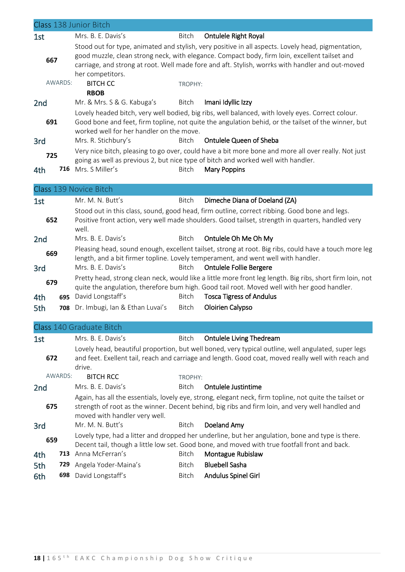|                 |         | Class 138 Junior Bitch                   |              |                                                                                                                                                                                            |
|-----------------|---------|------------------------------------------|--------------|--------------------------------------------------------------------------------------------------------------------------------------------------------------------------------------------|
| 1st             |         | Mrs. B. E. Davis's                       | Bitch        | <b>Ontulele Right Royal</b>                                                                                                                                                                |
|                 |         |                                          |              | Stood out for type, animated and stylish, very positive in all aspects. Lovely head, pigmentation,                                                                                         |
| 667             |         |                                          |              | good muzzle, clean strong neck, with elegance. Compact body, firm loin, excellent tailset and                                                                                              |
|                 |         |                                          |              | carriage, and strong at root. Well made fore and aft. Stylish, worrks with handler and out-moved                                                                                           |
|                 |         | her competitors.                         |              |                                                                                                                                                                                            |
|                 | AWARDS: | <b>BITCH CC</b>                          | TROPHY:      |                                                                                                                                                                                            |
|                 |         | <b>RBOB</b>                              |              |                                                                                                                                                                                            |
| 2 <sub>nd</sub> |         | Mr. & Mrs. S & G. Kabuga's               | Bitch        | Imani Idyllic Izzy                                                                                                                                                                         |
|                 |         |                                          |              | Lovely headed bitch, very well bodied, big ribs, well balanced, with lovely eyes. Correct colour.                                                                                          |
| 691             |         |                                          |              | Good bone and feet, firm topline, not quite the angulation behid, or the tailset of the winner, but                                                                                        |
|                 |         | worked well for her handler on the move. |              |                                                                                                                                                                                            |
| 3rd             |         | Mrs. R. Stichbury's                      | <b>Bitch</b> | Ontulele Queen of Sheba                                                                                                                                                                    |
| 725             |         |                                          |              | Very nice bitch, pleasing to go over, could have a bit more bone and more all over really. Not just                                                                                        |
|                 |         |                                          |              | going as well as previous 2, but nice type of bitch and worked well with handler.                                                                                                          |
| 4th             |         | 716 Mrs. S Miller's                      | <b>Bitch</b> | <b>Mary Poppins</b>                                                                                                                                                                        |
|                 |         | Class 139 Novice Bitch                   |              |                                                                                                                                                                                            |
|                 |         |                                          |              |                                                                                                                                                                                            |
| 1st             |         | Mr. M. N. Butt's                         | Bitch        | Dimeche Diana of Doeland (ZA)                                                                                                                                                              |
|                 |         |                                          |              | Stood out in this class, sound, good head, firm outline, correct ribbing. Good bone and legs.                                                                                              |
| 652             |         | well.                                    |              | Positive front action, very well made shoulders. Good tailset, strength in quarters, handled very                                                                                          |
|                 |         | Mrs. B. E. Davis's                       | Bitch        | Ontulele Oh Me Oh My                                                                                                                                                                       |
| 2 <sub>nd</sub> |         |                                          |              |                                                                                                                                                                                            |
| 669             |         |                                          |              | Pleasing head, sound enough, excellent tailset, strong at root. Big ribs, could have a touch more leg<br>length, and a bit firmer topline. Lovely temperament, and went well with handler. |
| 3rd             |         | Mrs. B. E. Davis's                       | <b>Bitch</b> | <b>Ontulele Follie Bergere</b>                                                                                                                                                             |
|                 |         |                                          |              | Pretty head, strong clean neck, would like a little more front leg length. Big ribs, short firm loin, not                                                                                  |
| 679             |         |                                          |              | quite the angulation, therefore bum high. Good tail root. Moved well with her good handler.                                                                                                |
| 4th             | 695     | David Longstaff's                        | Bitch        | <b>Tosca Tigress of Andulus</b>                                                                                                                                                            |
| 5th             | 708     | Dr. Imbugi, Ian & Ethan Luvai's          | Bitch        | Oloirien Calypso                                                                                                                                                                           |
|                 |         |                                          |              |                                                                                                                                                                                            |
|                 |         | Class 140 Graduate Bitch                 |              |                                                                                                                                                                                            |
| 1st             |         | Mrs. B. E. Davis's                       | Bitch        | <b>Ontulele Living Thedream</b>                                                                                                                                                            |
|                 |         |                                          |              | Lovely head, beautiful proportion, but well boned, very typical outline, well angulated, super legs                                                                                        |
| 672             |         |                                          |              | and feet. Exellent tail, reach and carriage and length. Good coat, moved really well with reach and                                                                                        |
|                 |         | drive.                                   |              |                                                                                                                                                                                            |
|                 | AWARDS: | <b>BITCH RCC</b>                         | TROPHY:      |                                                                                                                                                                                            |
| 2 <sub>nd</sub> |         | Mrs. B. E. Davis's                       | Bitch        | Ontulele Justintime                                                                                                                                                                        |
|                 |         |                                          |              | Again, has all the essentials, lovely eye, strong, elegant neck, firm topline, not quite the tailset or                                                                                    |
| 675             |         |                                          |              | strength of root as the winner. Decent behind, big ribs and firm loin, and very well handled and                                                                                           |
|                 |         | moved with handler very well.            |              |                                                                                                                                                                                            |
| 3rd             |         | Mr. M. N. Butt's                         | Bitch        | Doeland Amy                                                                                                                                                                                |
|                 |         |                                          |              | Lovely type, had a litter and dropped her underline, but her angulation, bone and type is there.                                                                                           |
| 659             |         |                                          |              | Decent tail, though a little low set. Good bone, and moved with true footfall front and back.                                                                                              |
| 4th             |         | 713 Anna McFerran's                      | Bitch        | Montague Rubislaw                                                                                                                                                                          |
| 5th             | 729     | Angela Yoder-Maina's                     | <b>Bitch</b> | <b>Bluebell Sasha</b>                                                                                                                                                                      |
| 6th             | 698     | David Longstaff's                        | Bitch        | Andulus Spinel Girl                                                                                                                                                                        |
|                 |         |                                          |              |                                                                                                                                                                                            |
|                 |         |                                          |              |                                                                                                                                                                                            |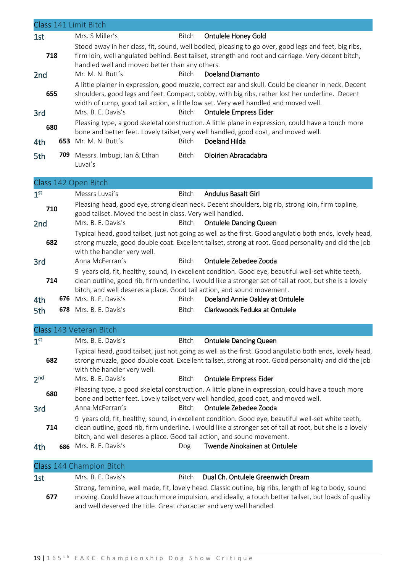|                        |     | Class 141 Limit Bitch                                                                                                                                                                                                                                                                                                          |                                   |  |  |
|------------------------|-----|--------------------------------------------------------------------------------------------------------------------------------------------------------------------------------------------------------------------------------------------------------------------------------------------------------------------------------|-----------------------------------|--|--|
|                        |     | Mrs. S Miller's<br><b>Bitch</b>                                                                                                                                                                                                                                                                                                | <b>Ontulele Honey Gold</b>        |  |  |
| 1st                    |     | Stood away in her class, fit, sound, well bodied, pleasing to go over, good legs and feet, big ribs,                                                                                                                                                                                                                           |                                   |  |  |
| 718<br>2 <sub>nd</sub> |     | firm loin, well angulated behind. Best tailset, strength and root and carriage. Very decent bitch,<br>handled well and moved better than any others.<br>Mr. M. N. Butt's<br><b>Bitch</b><br>Doeland Diamanto                                                                                                                   |                                   |  |  |
|                        |     |                                                                                                                                                                                                                                                                                                                                |                                   |  |  |
| 655<br>3rd             |     | A little plainer in expression, good muzzle, correct ear and skull. Could be cleaner in neck. Decent<br>shoulders, good legs and feet. Compact, cobby, with big ribs, rather lost her underline. Decent<br>width of rump, good tail action, a little low set. Very well handled and moved well.<br>Mrs. B. E. Davis's<br>Bitch | <b>Ontulele Empress Eider</b>     |  |  |
| 680                    |     | Pleasing type, a good skeletal construction. A little plane in expression, could have a touch more<br>bone and better feet. Lovely tailset, very well handled, good coat, and moved well.<br>653 Mr. M. N. Butt's<br>Doeland Hilda<br><b>Bitch</b>                                                                             |                                   |  |  |
| 4th                    |     |                                                                                                                                                                                                                                                                                                                                |                                   |  |  |
| 5th                    |     | 709 Messrs. Imbugi, Ian & Ethan<br>Bitch<br>Luvai's                                                                                                                                                                                                                                                                            | Oloirien Abracadabra              |  |  |
|                        |     | Class 142 Open Bitch                                                                                                                                                                                                                                                                                                           |                                   |  |  |
| 1 <sup>st</sup>        |     | Messrs Luvai's<br><b>Bitch</b>                                                                                                                                                                                                                                                                                                 | <b>Andulus Basalt Girl</b>        |  |  |
| 710                    |     | Pleasing head, good eye, strong clean neck. Decent shoulders, big rib, strong loin, firm topline,<br>good tailset. Moved the best in class. Very well handled.                                                                                                                                                                 |                                   |  |  |
| 2 <sub>nd</sub>        |     | Mrs. B. E. Davis's<br><b>Bitch</b>                                                                                                                                                                                                                                                                                             | <b>Ontulele Dancing Queen</b>     |  |  |
| 682                    |     | Typical head, good tailset, just not going as well as the first. Good angulatio both ends, lovely head,<br>strong muzzle, good double coat. Excellent tailset, strong at root. Good personality and did the job<br>with the handler very well.                                                                                 |                                   |  |  |
| 3rd                    |     | Anna McFerran's<br><b>Bitch</b>                                                                                                                                                                                                                                                                                                | Ontulele Zebedee Zooda            |  |  |
| 714                    |     | 9 years old, fit, healthy, sound, in excellent condition. Good eye, beautiful well-set white teeth,<br>clean outline, good rib, firm underline. I would like a stronger set of tail at root, but she is a lovely<br>bitch, and well deseres a place. Good tail action, and sound movement.                                     |                                   |  |  |
| 4th                    |     | 676 Mrs. B. E. Davis's<br><b>Bitch</b>                                                                                                                                                                                                                                                                                         | Doeland Annie Oakley at Ontulele  |  |  |
| 5th                    |     | 678 Mrs. B. E. Davis's<br><b>Bitch</b>                                                                                                                                                                                                                                                                                         | Clarkwoods Feduka at Ontulele     |  |  |
|                        |     | Class 143 Veteran Bitch                                                                                                                                                                                                                                                                                                        |                                   |  |  |
| 1 <sup>st</sup>        |     | Mrs. B. E. Davis's<br>Bitch                                                                                                                                                                                                                                                                                                    | <b>Ontulele Dancing Queen</b>     |  |  |
| 682                    |     | Typical head, good tailset, just not going as well as the first. Good angulatio both ends, lovely head,<br>strong muzzle, good double coat. Excellent tailset, strong at root. Good personality and did the job<br>with the handler very well.                                                                                 |                                   |  |  |
| 2 <sub>nd</sub>        |     | Mrs. B. E. Davis's<br><b>Bitch</b>                                                                                                                                                                                                                                                                                             | <b>Ontulele Empress Eider</b>     |  |  |
| 680                    |     | Pleasing type, a good skeletal construction. A little plane in expression, could have a touch more<br>bone and better feet. Lovely tailset, very well handled, good coat, and moved well.                                                                                                                                      |                                   |  |  |
| 3rd                    |     | Anna McFerran's<br><b>Bitch</b>                                                                                                                                                                                                                                                                                                | Ontulele Zebedee Zooda            |  |  |
| 714                    |     | 9 years old, fit, healthy, sound, in excellent condition. Good eye, beautiful well-set white teeth,<br>clean outline, good rib, firm underline. I would like a stronger set of tail at root, but she is a lovely<br>bitch, and well deseres a place. Good tail action, and sound movement.                                     |                                   |  |  |
| 4th                    | 686 | Mrs. B. E. Davis's<br>Dog                                                                                                                                                                                                                                                                                                      | Twende Ainokainen at Ontulele     |  |  |
|                        |     | Class 144 Champion Bitch                                                                                                                                                                                                                                                                                                       |                                   |  |  |
| 1st                    |     | Mrs. B. E. Davis's<br><b>Bitch</b>                                                                                                                                                                                                                                                                                             | Dual Ch. Ontulele Greenwich Dream |  |  |
| 677                    |     | Strong, feminine, well made, fit, lovely head. Classic outline, big ribs, length of leg to body, sound<br>moving. Could have a touch more impulsion, and ideally, a touch better tailset, but loads of quality                                                                                                                 |                                   |  |  |

and well deserved the title. Great character and very well handled.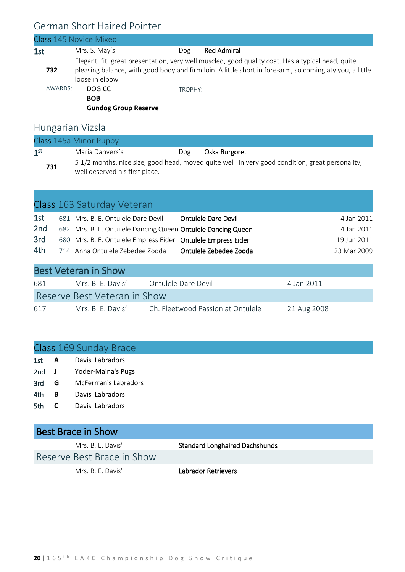#### German Short Haired Pointer

|         | Class 145 Novice Mixed                                                                                                                                                                                                          |         |                    |
|---------|---------------------------------------------------------------------------------------------------------------------------------------------------------------------------------------------------------------------------------|---------|--------------------|
| 1st     | Mrs. S. May's                                                                                                                                                                                                                   | Dog     | <b>Red Admiral</b> |
| 732     | Elegant, fit, great presentation, very well muscled, good quality coat. Has a typical head, quite<br>pleasing balance, with good body and firm loin. A little short in fore-arm, so coming aty you, a little<br>loose in elbow. |         |                    |
| AWARDS: | DOG CC<br><b>BOB</b><br><b>Gundog Group Reserve</b>                                                                                                                                                                             | TROPHY: |                    |
|         |                                                                                                                                                                                                                                 |         |                    |

#### Hungarian Vizsla

| Class 145a Minor Puppy |                                                                                                                                    |     |               |  |
|------------------------|------------------------------------------------------------------------------------------------------------------------------------|-----|---------------|--|
| 1 <sup>st</sup>        | Maria Danyers's                                                                                                                    | Dog | Oska Burgoret |  |
| 731                    | 5 1/2 months, nice size, good head, moved quite well. In very good condition, great personality,<br>well deserved his first place. |     |               |  |

|     | Class 163 Saturday Veteran                                   |                            |             |
|-----|--------------------------------------------------------------|----------------------------|-------------|
| 1st | 681 Mrs. B. E. Ontulele Dare Devil                           | <b>Ontulele Dare Devil</b> | 4 Jan 2011  |
| 2nd | 682 Mrs. B. E. Ontulele Dancing Queen Ontulele Dancing Queen |                            | 4 Jan 2011  |
| 3rd | 680 Mrs. B. E. Ontulele Empress Eider Ontulele Empress Eider |                            | 19 Jun 2011 |
| 4th | 714 Anna Ontulele Zebedee Zooda                              | Ontulele Zebedee Zooda     | 23 Mar 2009 |
|     | $D = \pm 1$ <i>Letters in Class</i>                          |                            |             |

| <b>Best Veteran in Show</b>  |                   |                                   |             |  |  |
|------------------------------|-------------------|-----------------------------------|-------------|--|--|
| 681                          | Mrs. B. F. Davis' | Ontulele Dare Devil               | 4 Jan 2011  |  |  |
| Reserve Best Veteran in Show |                   |                                   |             |  |  |
| 617                          | Mrs. B. F. Davis' | Ch. Fleetwood Passion at Ontulele | 21 Aug 2008 |  |  |

### Class 169 Sunday Brace

| 1st | Davis' Labradors |  |
|-----|------------------|--|
|     |                  |  |

- 2nd **J** Yoder-Maina's Pugs
- 3rd **G** McFerrran's Labradors
- 4th **B** Davis' Labradors
- 5th **C** Davis' Labradors

#### Best Brace in Show

Reserve Best Brace in Show

Mrs. B. E. Davis' Standard Longhaired Dachshunds

Mrs. B. E. Davis' **Labrador Retrievers**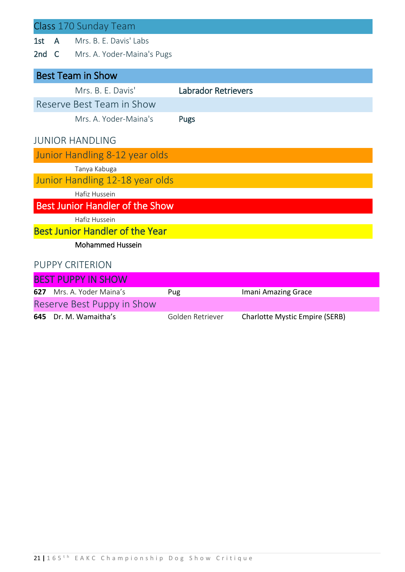|     |              | Class 170 Sunday Team                  |                            |                      |
|-----|--------------|----------------------------------------|----------------------------|----------------------|
| 1st | $\mathsf{A}$ | Mrs. B. E. Davis' Labs                 |                            |                      |
|     |              | 2nd C Mrs. A. Yoder-Maina's Pugs       |                            |                      |
|     |              | <b>Best Team in Show</b>               |                            |                      |
|     |              | Mrs. B. E. Davis'                      | <b>Labrador Retrievers</b> |                      |
|     |              | Reserve Best Team in Show              |                            |                      |
|     |              | Mrs. A. Yoder-Maina's                  | Pugs                       |                      |
|     |              | <b>JUNIOR HANDLING</b>                 |                            |                      |
|     |              | Junior Handling 8-12 year olds         |                            |                      |
|     |              | Tanya Kabuga                           |                            |                      |
|     |              | Junior Handling 12-18 year olds        |                            |                      |
|     |              | Hafiz Hussein                          |                            |                      |
|     |              | <b>Best Junior Handler of the Show</b> |                            |                      |
|     |              | Hafiz Hussein                          |                            |                      |
|     |              | <b>Best Junior Handler of the Year</b> |                            |                      |
|     |              | <b>Mohammed Hussein</b>                |                            |                      |
|     |              | <b>PUPPY CRITERION</b>                 |                            |                      |
|     |              | <b>BEST PUPPY IN SHOW</b>              |                            |                      |
|     |              | $C17 \tMer \tMuchou$<br>D              |                            | Import Amprica Cross |

| 627 | Mrs. A. Yoder Maina's      | Pug              | Imani Amazing Grace                   |
|-----|----------------------------|------------------|---------------------------------------|
|     | Reserve Best Puppy in Show |                  |                                       |
|     | 645 Dr. M. Wamaitha's      | Golden Retriever | <b>Charlotte Mystic Empire (SERB)</b> |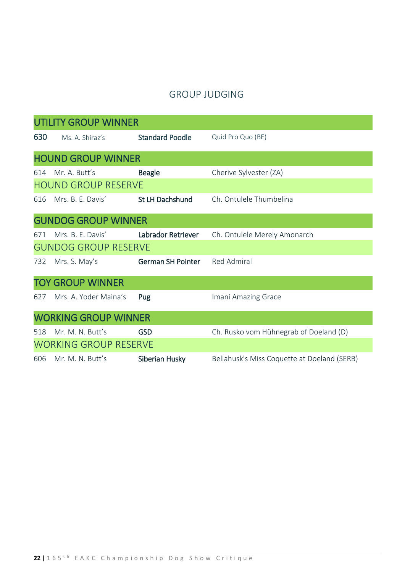#### GROUP JUDGING

|                              | <b>UTILITY GROUP WINNER</b> |                          |                                             |  |  |
|------------------------------|-----------------------------|--------------------------|---------------------------------------------|--|--|
| 630                          | Ms. A. Shiraz's             | <b>Standard Poodle</b>   | Quid Pro Quo (BE)                           |  |  |
|                              | <b>HOUND GROUP WINNER</b>   |                          |                                             |  |  |
| 614                          | Mr. A. Butt's               | <b>Beagle</b>            | Cherive Sylvester (ZA)                      |  |  |
|                              | <b>HOUND GROUP RESERVE</b>  |                          |                                             |  |  |
| 616                          | Mrs. B. E. Davis'           | St LH Dachshund          | Ch. Ontulele Thumbelina                     |  |  |
|                              | <b>GUNDOG GROUP WINNER</b>  |                          |                                             |  |  |
| 671                          | Mrs. B. E. Davis'           | Labrador Retriever       | Ch. Ontulele Merely Amonarch                |  |  |
|                              | <b>GUNDOG GROUP RESERVE</b> |                          |                                             |  |  |
| 732                          | Mrs. S. May's               | <b>German SH Pointer</b> | Red Admiral                                 |  |  |
|                              | <b>TOY GROUP WINNER</b>     |                          |                                             |  |  |
| 627                          | Mrs. A. Yoder Maina's       | Pug                      | Imani Amazing Grace                         |  |  |
| <b>WORKING GROUP WINNER</b>  |                             |                          |                                             |  |  |
| 518                          | Mr. M. N. Butt's            | <b>GSD</b>               | Ch. Rusko vom Hühnegrab of Doeland (D)      |  |  |
| <b>WORKING GROUP RESERVE</b> |                             |                          |                                             |  |  |
| 606                          | Mr. M. N. Butt's            | Siberian Husky           | Bellahusk's Miss Coquette at Doeland (SERB) |  |  |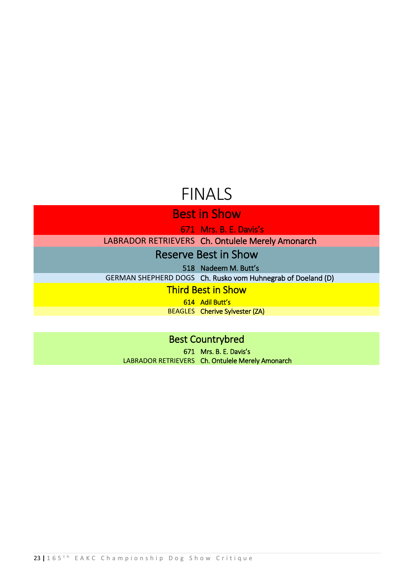## FINALS

Best in Show

671 Mrs. B. E. Davis's

LABRADOR RETRIEVERS Ch. Ontulele Merely Amonarch

Reserve Best in Show

518 Nadeem M. Butt's

GERMAN SHEPHERD DOGS Ch. Rusko vom Huhnegrab of Doeland (D)

Third Best in Show

614 Adil Butt's BEAGLES Cherive Sylvester (ZA)

Best Countrybred

671 Mrs. B. E. Davis's LABRADOR RETRIEVERS Ch. Ontulele Merely Amonarch